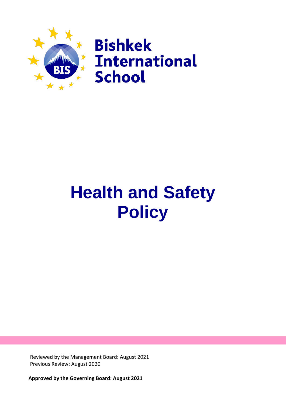

# **Health and Safety Policy**

Reviewed by the Management Board: August 2021 Previous Review: August 2020

**Approved by the Governing Board: August 2021**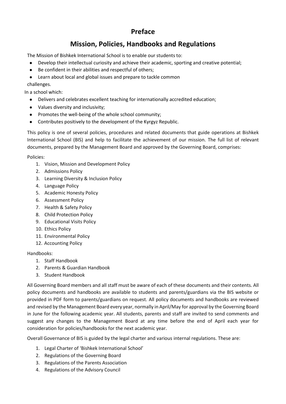## **Preface**

## **Mission, Policies, Handbooks and Regulations**

The Mission of Bishkek International School is to enable our students to:

- Develop their intellectual curiosity and achieve their academic, sporting and creative potential;
- Be confident in their abilities and respectful of others;
- Learn about local and global issues and prepare to tackle common

challenges.

In a school which:

- Delivers and celebrates excellent teaching for internationally accredited education;
- Values diversity and inclusivity;
- Promotes the well-being of the whole school community;
- Contributes positively to the development of the Kyrgyz Republic.

This policy is one of several policies, procedures and related documents that guide operations at Bishkek International School (BIS) and help to facilitate the achievement of our mission. The full list of relevant documents, prepared by the Management Board and approved by the Governing Board, comprises:

Policies:

- 1. Vision, Mission and Development Policy
- 2. Admissions Policy
- 3. Learning Diversity & Inclusion Policy
- 4. Language Policy
- 5. Academic Honesty Policy
- 6. Assessment Policy
- 7. Health & Safety Policy
- 8. Child Protection Policy
- 9. Educational Visits Policy
- 10. Ethics Policy
- 11. Environmental Policy
- 12. Accounting Policy

## Handbooks:

- 1. Staff Handbook
- 2. Parents & Guardian Handbook
- 3. Student Handbook

All Governing Board members and all staff must be aware of each of these documents and their contents. All policy documents and handbooks are available to students and parents/guardians via the BIS website or provided in PDF form to parents/guardians on request. All policy documents and handbooks are reviewed and revised by the Management Board every year, normally in April/May for approval by the Governing Board in June for the following academic year. All students, parents and staff are invited to send comments and suggest any changes to the Management Board at any time before the end of April each year for consideration for policies/handbooks for the next academic year.

Overall Governance of BIS is guided by the legal charter and various internal regulations. These are:

- 1. Legal Charter of 'Bishkek International School'
- 2. Regulations of the Governing Board
- 3. Regulations of the Parents Association
- 4. Regulations of the Advisory Council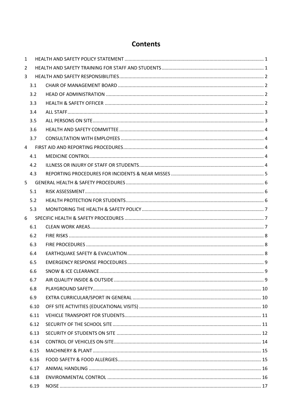## **Contents**

| 1 |      |  |
|---|------|--|
| 2 |      |  |
| 3 |      |  |
|   | 3.1  |  |
|   | 3.2  |  |
|   | 3.3  |  |
|   | 3.4  |  |
|   | 3.5  |  |
|   | 3.6  |  |
|   | 3.7  |  |
| 4 |      |  |
|   | 4.1  |  |
|   | 4.2  |  |
|   | 4.3  |  |
| 5 |      |  |
|   | 5.1  |  |
|   | 5.2  |  |
|   | 5.3  |  |
| 6 |      |  |
|   | 6.1  |  |
|   | 6.2  |  |
|   | 6.3  |  |
|   | 6.4  |  |
|   | 6.5  |  |
|   | 6.6  |  |
|   | 6.7  |  |
|   | 6.8  |  |
|   | 6.9  |  |
|   | 6.10 |  |
|   | 6.11 |  |
|   | 6.12 |  |
|   | 6.13 |  |
|   | 6.14 |  |
|   | 6.15 |  |
|   | 6.16 |  |
|   | 6.17 |  |
|   | 6.18 |  |
|   | 6.19 |  |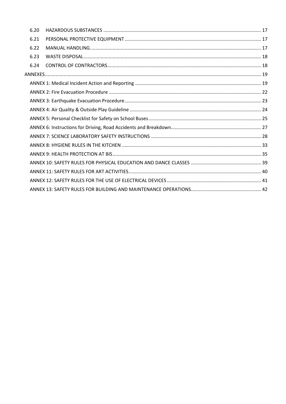| 6.20 |  |
|------|--|
| 6.21 |  |
| 6.22 |  |
| 6.23 |  |
| 6.24 |  |
|      |  |
|      |  |
|      |  |
|      |  |
|      |  |
|      |  |
|      |  |
|      |  |
|      |  |
|      |  |
|      |  |
|      |  |
|      |  |
|      |  |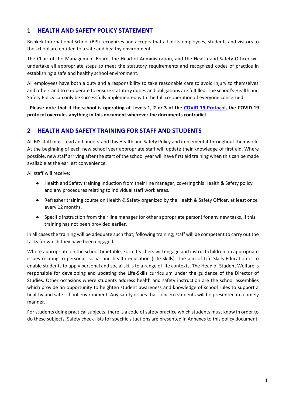## <span id="page-4-0"></span>**1 HEALTH AND SAFETY POLICY STATEMENT**

Bishkek International School (BIS) recognizes and accepts that all of its employees, students and visitors to the school are entitled to a safe and healthy environment.

The Chair of the Management Board, the Head of Administration, and the Health and Safety Officer will undertake all appropriate steps to meet the statutory requirements and recognized codes of practice in establishing a safe and healthy school environment.

All employees have both a duty and a responsibility to take reasonable care to avoid injury to themselves and others and to co-operate to ensure statutory duties and obligations are fulfilled. The school's Health and Safety Policy can only be successfully implemented with the full co-operation of everyone concerned.

**Please note that if the school is operating at Levels 1, 2 or 3 of the [COVID-19 Protocol,](https://drive.google.com/file/d/1dtjxANgUYCo-B3etB0u10iKQ9Y2FiuoA/view) the COVID-19 protocol overrules anything in this document wherever the documents contradict.**

## <span id="page-4-1"></span>**2 HEALTH AND SAFETY TRAINING FOR STAFF AND STUDENTS**

All BIS staff must read and understand this Health and Safety Policy and implement it throughout their work. At the beginning of each new school year appropriate staff will update their knowledge of first aid. Where possible, new staff arriving after the start of the school year will have first aid training when this can be made available at the earliest convenience.

All staff will receive:

- Health and Safety training induction from their line manager, covering this Health & Safety policy and any procedures relating to individual staff work areas.
- Refresher training course on Health & Safety organized by the Health & Safety Officer, at least once every 12 months.
- Specific instruction from their line manager (or other appropriate person) for any new tasks, if this training has not been provided earlier.

In all cases the training will be adequate such that, following training; staff will be competent to carry out the tasks for which they have been engaged.

Where appropriate on the school timetable, Form teachers will engage and instruct children on appropriate issues relating to personal, social and health education (Life-Skills). The aim of Life-Skills Education is to enable students to apply personal and social skills to a range of life contexts. The Head of Student Welfare is responsible for developing and updating the Life-Skills curriculum under the guidance of the Director of Studies. Other occasions where students address health and safety instruction are the school assemblies which provide an opportunity to heighten student awareness and knowledge of school rules to support a healthy and safe school environment. Any safety issues that concern students will be presented in a timely manner.

For students doing practical subjects, there is a code of safety practice which students must know in order to do these subjects. Safety check-lists for specific situations are presented in Annexes to this policy document.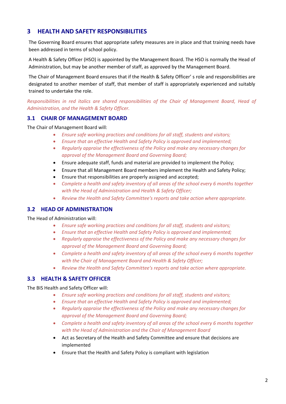## <span id="page-5-0"></span>**3 HEALTH AND SAFETY RESPONSIBILITIES**

The Governing Board ensures that appropriate safety measures are in place and that training needs have been addressed in terms of school policy.

A Health & Safety Officer (HSO) is appointed by the Management Board. The HSO is normally the Head of Administration, but may be another member of staff, as approved by the Management Board.

The Chair of Management Board ensures that if the Health & Safety Officer' s role and responsibilities are designated to another member of staff, that member of staff is appropriately experienced and suitably trained to undertake the role.

*Responsibilities in red italics are shared responsibilities of the Chair of Management Board, Head of Administration, and the Health & Safety Officer.*

## <span id="page-5-1"></span>**3.1 CHAIR OF MANAGEMENT BOARD**

The Chair of Management Board will:

- *Ensure safe working practices and conditions for all staff, students and visitors;*
- *Ensure that an effective Health and Safety Policy is approved and implemented;*
- *Regularly appraise the effectiveness of the Policy and make any necessary changes for approval of the Management Board and Governing Board;*
- Ensure adequate staff, funds and material are provided to implement the Policy;
- Ensure that all Management Board members implement the Health and Safety Policy;
- Ensure that responsibilities are properly assigned and accepted;
- *Complete a health and safety inventory of all areas of the school every 6 months together with the Head of Administration and Health & Safety Officer;*
- *Review the Health and Safety Committee's reports and take action where appropriate.*

## <span id="page-5-2"></span>**3.2 HEAD OF ADMINISTRATION**

The Head of Administration will:

- *Ensure safe working practices and conditions for all staff, students and visitors;*
- *Ensure that an effective Health and Safety Policy is approved and implemented;*
- *Regularly appraise the effectiveness of the Policy and make any necessary changes for approval of the Management Board and Governing Board;*
- *Complete a health and safety inventory of all areas of the school every 6 months together with the Chair of Management Board and Health & Safety Officer;*
- *Review the Health and Safety Committee's reports and take action where appropriate.*

## <span id="page-5-3"></span>**3.3 HEALTH & SAFETY OFFICER**

The BIS Health and Safety Officer will:

- *Ensure safe working practices and conditions for all staff, students and visitors;*
- *Ensure that an effective Health and Safety Policy is approved and implemented;*
- *Regularly appraise the effectiveness of the Policy and make any necessary changes for approval of the Management Board and Governing Board;*
- *Complete a health and safety inventory of all areas of the school every 6 months together with the Head of Administration and the Chair of Management Board*
- Act as Secretary of the Health and Safety Committee and ensure that decisions are implemented
- Ensure that the Health and Safety Policy is compliant with legislation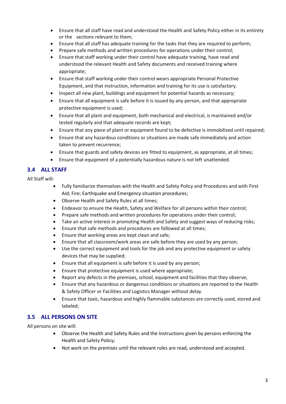- Ensure that all staff have read and understood the Health and Safety Policy either in its entirety or the sections relevant to them;
- Ensure that all staff has adequate training for the tasks that they are required to perform;
- Prepare safe methods and written procedures for operations under their control;
- Ensure that staff working under their control have adequate training, have read and understood the relevant Health and Safety documents and received training where appropriate;
- Ensure that staff working under their control wears appropriate Personal Protective Equipment, and that instruction, information and training for its use is satisfactory.
- Inspect all new plant, buildings and equipment for potential hazards as necessary;
- Ensure that all equipment is safe before it is issued by any person, and that appropriate protective equipment is used;
- Ensure that all plant and equipment, both mechanical and electrical, is maintained and/or tested regularly and that adequate records are kept;
- Ensure that any piece of plant or equipment found to be defective is immobilized until repaired;
- Ensure that any hazardous conditions or situations are made safe immediately and action taken to prevent recurrence;
- Ensure that guards and safety devices are fitted to equipment, as appropriate, at all times;
- Ensure that equipment of a potentially hazardous nature is not left unattended.

## <span id="page-6-0"></span>**3.4 ALL STAFF**

All Staff will:

- Fully familiarize themselves with the Health and Safety Policy and Procedures and with First Aid; Fire; Earthquake and Emergency situation procedures;
- Observe Health and Safety Rules at all times;
- Endeavor to ensure the Health, Safety and Welfare for all persons within their control;
- Prepare safe methods and written procedures for operations under their control;
- Take an active interest in promoting Health and Safety and suggest ways of reducing risks;
- Ensure that safe methods and procedures are followed at all times;
- Ensure that working areas are kept clean and safe;
- Ensure that all classroom/work areas are safe before they are used by any person;
- Use the correct equipment and tools for the job and any protective equipment or safety devices that may be supplied;
- Ensure that all equipment is safe before it is used by any person;
- Ensure that protective equipment is used where appropriate;
- Report any defects in the premises, school, equipment and facilities that they observe;
- Ensure that any hazardous or dangerous conditions or situations are reported to the Health & Safety Officer or Facilities and Logistics Manager without delay.
- Ensure that toxic, hazardous and highly flammable substances are correctly used, stored and labeled;

## <span id="page-6-1"></span>**3.5 ALL PERSONS ON SITE**

All persons on site will:

- Observe the Health and Safety Rules and the Instructions given by persons enforcing the Health and Safety Policy;
- Not work on the premises until the relevant rules are read, understood and accepted.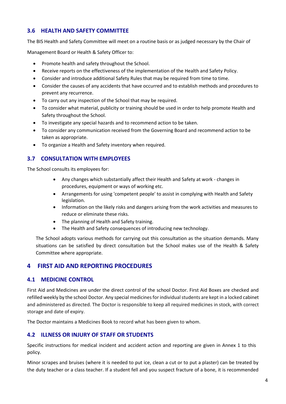## <span id="page-7-0"></span>**3.6 HEALTH AND SAFETY COMMITTEE**

The BIS Health and Safety Committee will meet on a routine basis or as judged necessary by the Chair of

Management Board or Health & Safety Officer to:

- Promote health and safety throughout the School.
- Receive reports on the effectiveness of the implementation of the Health and Safety Policy.
- Consider and introduce additional Safety Rules that may be required from time to time.
- Consider the causes of any accidents that have occurred and to establish methods and procedures to prevent any recurrence.
- To carry out any inspection of the School that may be required.
- To consider what material, publicity or training should be used in order to help promote Health and Safety throughout the School.
- To investigate any special hazards and to recommend action to be taken.
- To consider any communication received from the Governing Board and recommend action to be taken as appropriate.
- To organize a Health and Safety inventory when required.

## <span id="page-7-1"></span>**3.7 CONSULTATION WITH EMPLOYEES**

The School consults its employees for:

- Any changes which substantially affect their Health and Safety at work changes in procedures, equipment or ways of working etc.
- Arrangements for using 'competent people' to assist in complying with Health and Safety legislation.
- Information on the likely risks and dangers arising from the work activities and measures to reduce or eliminate these risks.
- The planning of Health and Safety training.
- The Health and Safety consequences of introducing new technology.

The School adopts various methods for carrying out this consultation as the situation demands. Many situations can be satisfied by direct consultation but the School makes use of the Health & Safety Committee where appropriate.

## <span id="page-7-2"></span>**4 FIRST AID AND REPORTING PROCEDURES**

## <span id="page-7-3"></span>**4.1 MEDICINE CONTROL**

First Aid and Medicines are under the direct control of the school Doctor. First Aid Boxes are checked and refilled weekly by the school Doctor. Any special medicines for individual students are kept in a locked cabinet and administered as directed. The Doctor is responsible to keep all required medicines in stock, with correct storage and date of expiry.

The Doctor maintains a Medicines Book to record what has been given to whom.

## <span id="page-7-4"></span>**4.2 ILLNESS OR INJURY OF STAFF OR STUDENTS**

Specific instructions for medical incident and accident action and reporting are given in Annex 1 to this policy.

Minor scrapes and bruises (where it is needed to put ice, clean a cut or to put a plaster) can be treated by the duty teacher or a class teacher. If a student fell and you suspect fracture of a bone, it is recommended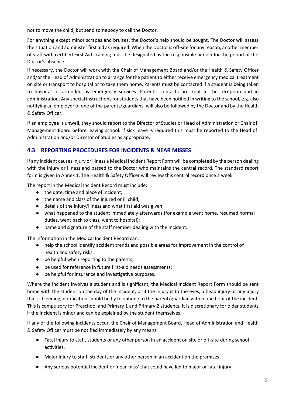not to move the child, but send somebody to call the Doctor.

For anything except minor scrapes and bruises, the Doctor's help should be sought. The Doctor will assess the situation and administer first aid as required. When the Doctor is off-site for any reason, another member of staff with certified First Aid Training must be designated as the responsible person for the period of the Doctor's absence.

If necessary, the Doctor will work with the Chair of Management Board and/or the Health & Safety Officer and/or the Head of Administration to arrange for the patient to either receive emergency medical treatment on site or transport to hospital or to take them home. Parents must be contacted if a student is being taken to hospital or attended by emergency services. Parents' contacts are kept in the reception and in administration. Any special instructions for students that have been notified in writing to the school, e.g. also notifying an employer of one of the parents/guardians, will also be followed by the Doctor and by the Health & Safety Officer.

If an employee is unwell, they should report to the Director of Studies or Head of Administration or Chair of Management Board before leaving school. If sick leave is required this must be reported to the Head of Administration and/or Director of Studies as appropriate.

## <span id="page-8-0"></span>**4.3 REPORTING PROCEDURES FOR INCIDENTS & NEAR MISSES**

If any incident causes injury or illness a Medical Incident Report Form will be completed by the person dealing with the injury or illness and passed to the Doctor who maintains the central record. The standard report form is given in Annex 1. The Health & Safety Officer will review this central record once a week.

The report in the Medical Incident Record must include:

- the date, time and place of incident;
- the name and class of the injured or ill child;
- details of the injury/illness and what first aid was given;
- what happened to the student immediately afterwards (for example went home, resumed normal duties, went back to class, went to hospital);
- name and signature of the staff member dealing with the incident.

The information in the Medical Incident Record can:

- help the school identify accident trends and possible areas for improvement in the control of health and safety risks;
- be helpful when reporting to the parents;
- be used for reference in future first-aid needs assessments;
- be helpful for insurance and investigative purposes.

Where the incident involves a student and is significant, the Medical Incident Report Form should be sent home with the student on the day of the incident, or if the injury is to the eyes, a head injury or any injury that is bleeding, notification should be by telephone to the parent/guardian within one hour of the incident. This is compulsory for Preschool and Primary 1 and Primary 2 students. It is discretionary for older students if the incident is minor and can be explained by the student themselves.

If any of the following incidents occur, the Chair of Management Board, Head of Administration and Health & Safety Officer must be notified immediately by any means:

- Fatal injury to staff, students or any other person in an accident on site or off-site during school activities.
- Major injury to staff, students or any other person in an accident on the premises
- Any serious potential incident or 'near-miss' that could have led to major or fatal injury.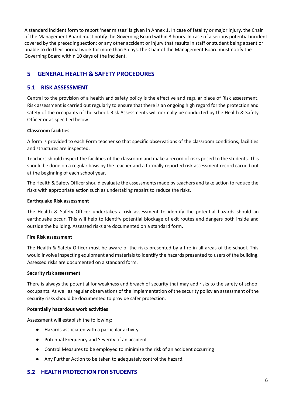A standard incident form to report 'near misses' is given in Annex 1. In case of fatality or major injury, the Chair of the Management Board must notify the Governing Board within 3 hours. In case of a serious potential incident covered by the preceding section; or any other accident or injury that results in staff or student being absent or unable to do their normal work for more than 3 days, the Chair of the Management Board must notify the Governing Board within 10 days of the incident.

## <span id="page-9-0"></span>**5 GENERAL HEALTH & SAFETY PROCEDURES**

## <span id="page-9-1"></span>**5.1 RISK ASSESSMENT**

Central to the provision of a health and safety policy is the effective and regular place of Risk assessment. Risk assessment is carried out regularly to ensure that there is an ongoing high regard for the protection and safety of the occupants of the school. Risk Assessments will normally be conducted by the Health & Safety Officer or as specified below.

## **Classroom facilities**

A form is provided to each Form teacher so that specific observations of the classroom conditions, facilities and structures are inspected.

Teachers should inspect the facilities of the classroom and make a record of risks posed to the students. This should be done on a regular basis by the teacher and a formally reported risk assessment record carried out at the beginning of each school year.

The Health & Safety Officer should evaluate the assessments made by teachers and take action to reduce the risks with appropriate action such as undertaking repairs to reduce the risks.

#### **Earthquake Risk assessment**

The Health & Safety Officer undertakes a risk assessment to identify the potential hazards should an earthquake occur. This will help to identify potential blockage of exit routes and dangers both inside and outside the building. Assessed risks are documented on a standard form.

## **Fire Risk assessment**

The Health & Safety Officer must be aware of the risks presented by a fire in all areas of the school. This would involve inspecting equipment and materials to identify the hazards presented to users of the building. Assessed risks are documented on a standard form.

## **Security risk assessment**

There is always the potential for weakness and breach of security that may add risks to the safety of school occupants. As well as regular observations of the implementation of the security policy an assessment of the security risks should be documented to provide safer protection.

## **Potentially hazardous work activities**

Assessment will establish the following:

- Hazards associated with a particular activity.
- Potential Frequency and Severity of an accident.
- Control Measures to be employed to minimize the risk of an accident occurring
- Any Further Action to be taken to adequately control the hazard.

## <span id="page-9-2"></span>**5.2 HEALTH PROTECTION FOR STUDENTS**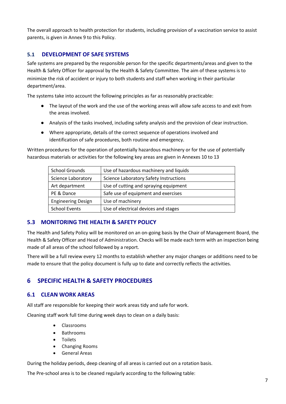The overall approach to health protection for students, including provision of a vaccination service to assist parents, is given in Annex 9 to this Policy.

## **5.1 DEVELOPMENT OF SAFE SYSTEMS**

Safe systems are prepared by the responsible person for the specific departments/areas and given to the Health & Safety Officer for approval by the Health & Safety Committee. The aim of these systems is to minimize the risk of accident or injury to both students and staff when working in their particular department/area.

The systems take into account the following principles as far as reasonably practicable:

- The layout of the work and the use of the working areas will allow safe access to and exit from the areas involved.
- Analysis of the tasks involved, including safety analysis and the provision of clear instruction.
- Where appropriate, details of the correct sequence of operations involved and identification of safe procedures, both routine and emergency.

Written procedures for the operation of potentially hazardous machinery or for the use of potentially hazardous materials or activities for the following key areas are given in Annexes 10 to 13

| <b>School Grounds</b>     | Use of hazardous machinery and liquids |  |  |
|---------------------------|----------------------------------------|--|--|
| <b>Science Laboratory</b> | Science Laboratory Safety Instructions |  |  |
| Art department            | Use of cutting and spraying equipment  |  |  |
| PE & Dance                | Safe use of equipment and exercises    |  |  |
| <b>Engineering Design</b> | Use of machinery                       |  |  |
| <b>School Events</b>      | Use of electrical devices and stages   |  |  |

## <span id="page-10-0"></span>**5.3 MONITORING THE HEALTH & SAFETY POLICY**

The Health and Safety Policy will be monitored on an on-going basis by the Chair of Management Board, the Health & Safety Officer and Head of Administration. Checks will be made each term with an inspection being made of all areas of the school followed by a report.

There will be a full review every 12 months to establish whether any major changes or additions need to be made to ensure that the policy document is fully up to date and correctly reflects the activities.

## <span id="page-10-1"></span>**6 SPECIFIC HEALTH & SAFETY PROCEDURES**

## <span id="page-10-2"></span>**6.1 CLEAN WORK AREAS**

All staff are responsible for keeping their work areas tidy and safe for work.

Cleaning staff work full time during week days to clean on a daily basis:

- Classrooms
- Bathrooms
- **Toilets**
- Changing Rooms
- General Areas

During the holiday periods, deep cleaning of all areas is carried out on a rotation basis.

The Pre-school area is to be cleaned regularly according to the following table: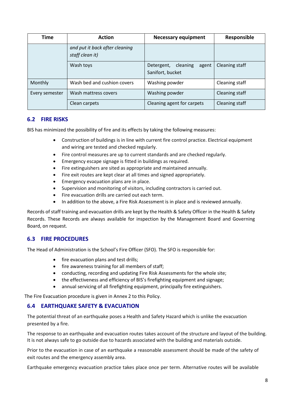| <b>Action</b><br>Time |                                                   | <b>Necessary equipment</b>                          | Responsible    |  |
|-----------------------|---------------------------------------------------|-----------------------------------------------------|----------------|--|
|                       | and put it back after cleaning<br>staff clean it) |                                                     |                |  |
|                       | Wash toys                                         | Detergent,<br>cleaning<br>agent<br>Sanifort, bucket | Cleaning staff |  |
| Monthly               | Wash bed and cushion covers                       | Washing powder                                      | Cleaning staff |  |
| Every semester        | Wash mattress covers                              | Washing powder                                      | Cleaning staff |  |
| Clean carpets         |                                                   | Cleaning agent for carpets                          | Cleaning staff |  |

## <span id="page-11-0"></span>**6.2 FIRE RISKS**

BIS has minimized the possibility of fire and its effects by taking the following measures:

- Construction of buildings is in line with current fire control practice. Electrical equipment and wiring are tested and checked regularly.
- Fire control measures are up to current standards and are checked regularly.
- Emergency escape signage is fitted in buildings as required.
- Fire extinguishers are sited as appropriate and maintained annually.
- Fire exit routes are kept clear at all times and signed appropriately.
- Emergency evacuation plans are in place.
- Supervision and monitoring of visitors, including contractors is carried out.
- Fire evacuation drills are carried out each term.
- In addition to the above, a Fire Risk Assessment is in place and is reviewed annually.

Records of staff training and evacuation drills are kept by the Health & Safety Officer in the Health & Safety Records. These Records are always available for inspection by the Management Board and Governing Board, on request.

## <span id="page-11-1"></span>**6.3 FIRE PROCEDURES**

The Head of Administration is the School's Fire Officer (SFO). The SFO is responsible for:

- fire evacuation plans and test drills;
- fire awareness training for all members of staff;
- conducting, recording and updating Fire Risk Assessments for the whole site;
- the effectiveness and efficiency of BIS's firefighting equipment and signage;
- annual servicing of all firefighting equipment, principally fire extinguishers.

The Fire Evacuation procedure is given in Annex 2 to this Policy.

## <span id="page-11-2"></span>**6.4 EARTHQUAKE SAFETY & EVACUATION**

The potential threat of an earthquake poses a Health and Safety Hazard which is unlike the evacuation presented by a fire.

The response to an earthquake and evacuation routes takes account of the structure and layout of the building. It is not always safe to go outside due to hazards associated with the building and materials outside.

Prior to the evacuation in case of an earthquake a reasonable assessment should be made of the safety of exit routes and the emergency assembly area.

Earthquake emergency evacuation practice takes place once per term. Alternative routes will be available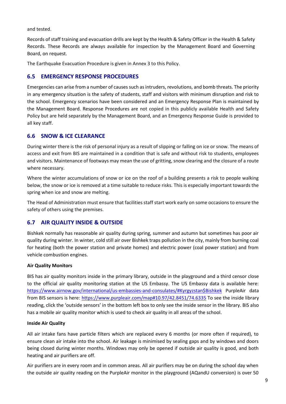and tested.

Records of staff training and evacuation drills are kept by the Health & Safety Officer in the Health & Safety Records. These Records are always available for inspection by the Management Board and Governing Board, on request.

The Earthquake Evacuation Procedure is given in Annex 3 to this Policy.

## <span id="page-12-0"></span>**6.5 EMERGENCY RESPONSE PROCEDURES**

Emergencies can arise from a number of causes such as intruders, revolutions, and bomb threats. The priority in any emergency situation is the safety of students, staff and visitors with minimum disruption and risk to the school. Emergency scenarios have been considered and an Emergency Response Plan is maintained by the Management Board. Response Procedures are not copied in this publicly available Health and Safety Policy but are held separately by the Management Board, and an Emergency Response Guide is provided to all key staff.

## <span id="page-12-1"></span>**6.6 SNOW & ICE CLEARANCE**

During winter there is the risk of personal injury as a result of slipping or falling on ice or snow. The means of access and exit from BIS are maintained in a condition that is safe and without risk to students, employees and visitors. Maintenance of footways may mean the use of gritting, snow clearing and the closure of a route where necessary.

Where the winter accumulations of snow or ice on the roof of a building presents a risk to people walking below, the snow or ice is removed at a time suitable to reduce risks. This is especially important towards the spring when ice and snow are melting.

The Head of Administration must ensure that facilities staff start work early on some occasions to ensure the safety of others using the premises.

## <span id="page-12-2"></span>**6.7 AIR QUALITY INSIDE & OUTSIDE**

Bishkek normally has reasonable air quality during spring, summer and autumn but sometimes has poor air quality during winter. In winter, cold still air over Bishkek traps pollution in the city, mainly from burning coal for heating (both the power station and private homes) and electric power (coal power station) and from vehicle combustion engines.

## **Air Quality Monitors**

BIS has air quality monitors inside in the primary library, outside in the playground and a third censor close to the official air quality monitoring station at the US Embassy. The US Embassy data is available here: [https://www.airnow.gov/international/us-embassies-and-consulates/#Kyrgyzstan\\$Bishkek](https://www.airnow.gov/international/us-embassies-and-consulates/#Kyrgyzstan%24Bishkek) PurpleAir data from BIS sensors is here: [https://www.purpleair.com/map#10.97/42.8451/74.6335](https://www.purpleair.com/map%2310.97/42.8451/74.6335) To see the inside library reading, click the 'outside sensors' in the bottom left box to only see the inside sensor in the library. BIS also has a mobile air quality monitor which is used to check air quality in all areas of the school.

## **Inside Air Quality**

All air intake fans have particle filters which are replaced every 6 months (or more often if required), to ensure clean air intake into the school. Air leakage is minimised by sealing gaps and by windows and doors being closed during winter months. Windows may only be opened if outside air quality is good, and both heating and air purifiers are off.

Air purifiers are in every room and in common areas. All air purifiers may be on during the school day when the outside air quality reading on the PurpleAir monitor in the playground (AQandU conversion) is over 50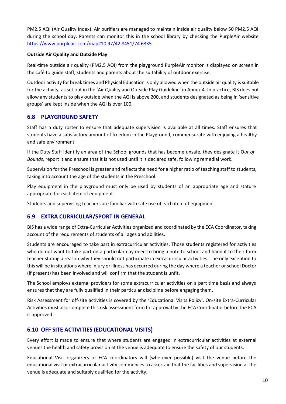PM2.5 AQI (Air Quality Index). Air purifiers are managed to maintain inside air quality below 50 PM2.5 AQI during the school day. Parents can monitor this in the school library by checking the PurpleAir website [https://www.purpleair.com/map#10.97/42.8451/74.6335](https://www.purpleair.com/map%2310.97/42.8451/74.6335)

## **Outside Air Quality and Outside Play**

Real-time outside air quality (PM2.5 AQI) from the playground PurpleAir monitor is displayed on screen in the café to guide staff, students and parents about the suitability of outdoor exercise.

Outdoor activity for break times and Physical Education is only allowed when the outside air quality is suitable for the activity, as set out in the 'Air Quality and Outside Play Guideline' in Annex 4. In practice, BIS does not allow any students to play outside when the AQI is above 200, and students designated as being in 'sensitive groups' are kept inside when the AQI is over 100.

## <span id="page-13-0"></span>**6.8 PLAYGROUND SAFETY**

Staff has a duty roster to ensure that adequate supervision is available at all times. Staff ensures that students have a satisfactory amount of freedom in the Playground, commensurate with enjoying a healthy and safe environment.

If the Duty Staff identify an area of the School grounds that has become unsafe, they designate it O*ut of Bounds*, report it and ensure that it is not used until it is declared safe, following remedial work.

Supervision for the Preschool is greater and reflects the need for a higher ratio of teaching staff to students, taking into account the age of the students in the Preschool.

Play equipment in the playground must only be used by students of an appropriate age and stature appropriate for each item of equipment.

Students and supervising teachers are familiar with safe use of each item of equipment.

## <span id="page-13-1"></span>**6.9 EXTRA CURRICULAR/SPORT IN GENERAL**

BIS has a wide range of Extra-Curricular Activities organized and coordinated by the ECA Coordinator, taking account of the requirements of students of all ages and abilities.

Students are encouraged to take part in extracurricular activities. Those students registered for activities who do not want to take part on a particular day need to bring a note to school and hand it to their form teacher stating a reason why they should not participate in extracurricular activities. The only exception to this will be in situations where injury or illness has occurred during the day where a teacher or school Doctor (if present) has been involved and will confirm that the student is unfit.

The School employs external providers for some extracurricular activities on a part time basis and always ensures that they are fully qualified in their particular discipline before engaging them.

Risk Assessment for off-site activities is covered by the 'Educational Visits Policy'. On-site Extra-Curricular Activities must also complete this risk assessment form for approval by the ECA Coordinator before the ECA is approved.

## <span id="page-13-2"></span>**6.10 OFF SITE ACTIVITIES (EDUCATIONAL VISITS)**

Every effort is made to ensure that where students are engaged in extracurricular activities at external venues the health and safety provision at the venue is adequate to ensure the safety of our students.

Educational Visit organizers or ECA coordinators will (wherever possible) visit the venue before the educational visit or extracurricular activity commences to ascertain that the facilities and supervision at the venue is adequate and suitably qualified for the activity.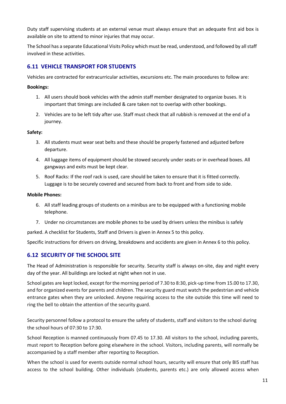Duty staff supervising students at an external venue must always ensure that an adequate first aid box is available on site to attend to minor injuries that may occur.

The School has a separate Educational Visits Policy which must be read, understood, and followed by all staff involved in these activities.

## <span id="page-14-0"></span>**6.11 VEHICLE TRANSPORT FOR STUDENTS**

Vehicles are contracted for extracurricular activities, excursions etc. The main procedures to follow are:

#### **Bookings:**

- 1. All users should book vehicles with the admin staff member designated to organize buses. It is important that timings are included & care taken not to overlap with other bookings.
- 2. Vehicles are to be left tidy after use. Staff must check that all rubbish is removed at the end of a journey.

#### **Safety:**

- 3. All students must wear seat belts and these should be properly fastened and adjusted before departure.
- 4. All luggage items of equipment should be stowed securely under seats or in overhead boxes. All gangways and exits must be kept clear.
- 5. Roof Racks: If the roof rack is used, care should be taken to ensure that it is fitted correctly. Luggage is to be securely covered and secured from back to front and from side to side.

#### **Mobile Phones:**

- 6. All staff leading groups of students on a minibus are to be equipped with a functioning mobile telephone.
- 7. Under no circumstances are mobile phones to be used by drivers unless the minibus is safely

parked. A checklist for Students, Staff and Drivers is given in Annex 5 to this policy.

Specific instructions for drivers on driving, breakdowns and accidents are given in Annex 6 to this policy.

## <span id="page-14-1"></span>**6.12 SECURITY OF THE SCHOOL SITE**

The Head of Administration is responsible for security. Security staff is always on-site, day and night every day of the year. All buildings are locked at night when not in use.

School gates are kept locked, except for the morning period of 7.30 to 8:30, pick-up time from 15.00 to 17.30, and for organized events for parents and children. The security guard must watch the pedestrian and vehicle entrance gates when they are unlocked. Anyone requiring access to the site outside this time will need to ring the bell to obtain the attention of the security guard.

Security personnel follow a protocol to ensure the safety of students, staff and visitors to the school during the school hours of 07:30 to 17:30.

School Reception is manned continuously from 07.45 to 17.30. All visitors to the school, including parents, must report to Reception before going elsewhere in the school. Visitors, including parents, will normally be accompanied by a staff member after reporting to Reception.

When the school is used for events outside normal school hours, security will ensure that only BIS staff has access to the school building. Other individuals (students, parents etc.) are only allowed access when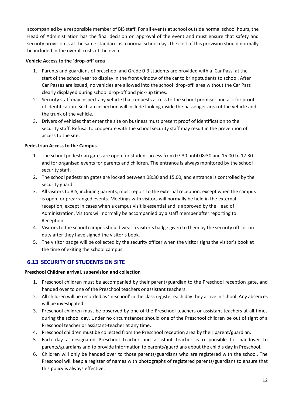accompanied by a responsible member of BIS staff. For all events at school outside normal school hours, the Head of Administration has the final decision on approval of the event and must ensure that safety and security provision is at the same standard as a normal school day. The cost of this provision should normally be included in the overall costs of the event.

## **Vehicle Access to the 'drop-off' area**

- 1. Parents and guardians of preschool and Grade 0-3 students are provided with a 'Car Pass' at the start of the school year to display in the front window of the car to bring students to school. After Car Passes are issued, no vehicles are allowed into the school 'drop-off' area without the Car Pass clearly displayed during school drop-off and pick-up times.
- 2. Security staff may inspect any vehicle that requests access to the school premises and ask for proof of identification. Such an inspection will include looking inside the passenger area of the vehicle and the trunk of the vehicle.
- 3. Drivers of vehicles that enter the site on business must present proof of identification to the security staff. Refusal to cooperate with the school security staff may result in the prevention of access to the site.

#### **Pedestrian Access to the Campus**

- 1. The school pedestrian gates are open for student access from 07:30 until 08:30 and 15.00 to 17.30 and for organised events for parents and children. The entrance is always monitored by the school security staff.
- 2. The school pedestrian gates are locked between 08:30 and 15.00, and entrance is controlled by the security guard.
- 3. All visitors to BIS, including parents, must report to the external reception, except when the campus is open for prearranged events. Meetings with visitors will normally be held in the external reception, except in cases when a campus visit is essential and is approved by the Head of Administration. Visitors will normally be accompanied by a staff member after reporting to Reception.
- 4. Visitors to the school campus should wear a visitor's badge given to them by the security officer on duty after they have signed the visitor's book.
- 5. The visitor badge will be collected by the security officer when the visitor signs the visitor's book at the time of exiting the school campus.

## <span id="page-15-0"></span>**6.13 SECURITY OF STUDENTS ON SITE**

## **Preschool Children arrival, supervision and collection**

- 1. Preschool children must be accompanied by their parent/guardian to the Preschool reception gate, and handed over to one of the Preschool teachers or assistant teachers.
- 2. All children will be recorded as 'in-school' in the class register each day they arrive in school. Any absences will be investigated.
- 3. Preschool children must be observed by one of the Preschool teachers or assistant teachers at all times during the school day. Under no circumstances should one of the Preschool children be out of sight of a Preschool teacher or assistant-teacher at any time.
- 4. Preschool children must be collected from the Preschool reception area by their parent/guardian.
- 5. Each day a designated Preschool teacher and assistant teacher is responsible for handover to parents/guardians and to provide information to parents/guardians about the child's day in Preschool.
- 6. Children will only be handed over to those parents/guardians who are registered with the school. The Preschool will keep a register of names with photographs of registered parents/guardians to ensure that this policy is always effective.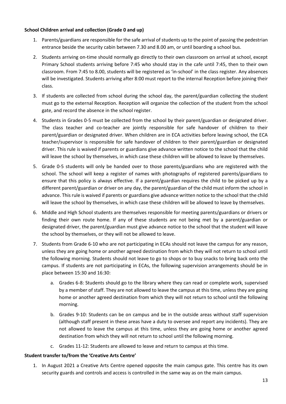#### **School Children arrival and collection (Grade 0 and up)**

- 1. Parents/guardians are responsible for the safe arrival of students up to the point of passing the pedestrian entrance beside the security cabin between 7.30 and 8.00 am, or until boarding a school bus.
- 2. Students arriving on-time should normally go directly to their own classroom on arrival at school, except Primary School students arriving before 7:45 who should stay in the cafe until 7:45, then to their own classroom. From 7:45 to 8.00, students will be registered as 'in-school' in the class register. Any absences will be investigated. Students arriving after 8:00 must report to the internal Reception before joining their class.
- 3. If students are collected from school during the school day, the parent/guardian collecting the student must go to the external Reception. Reception will organize the collection of the student from the school gate, and record the absence in the school register.
- 4. Students in Grades 0-5 must be collected from the school by their parent/guardian or designated driver. The class teacher and co-teacher are jointly responsible for safe handover of children to their parent/guardian or designated driver. When children are in ECA activities before leaving school, the ECA teacher/supervisor is responsible for safe handover of children to their parent/guardian or designated driver. This rule is waived if parents or guardians give advance written notice to the school that the child will leave the school by themselves, in which case these children will be allowed to leave by themselves.
- 5. Grade 0-5 students will only be handed over to those parents/guardians who are registered with the school. The school will keep a register of names with photographs of registered parents/guardians to ensure that this policy is always effective. If a parent/guardian requires the child to be picked up by a different parent/guardian or driver on any day, the parent/guardian of the child must inform the school in advance. This rule is waived if parents or guardians give advance written notice to the school that the child will leave the school by themselves, in which case these children will be allowed to leave by themselves.
- 6. Middle and High School students are themselves responsible for meeting parents/guardians or drivers or finding their own route home. If any of these students are not being met by a parent/guardian or designated driver, the parent/guardian must give advance notice to the school that the student will leave the school by themselves, or they will not be allowed to leave.
- 7. Students from Grade 6-10 who are not participating in ECAs should not leave the campus for any reason, unless they are going home or another agreed destination from which they will not return to school until the following morning. Students should not leave to go to shops or to buy snacks to bring back onto the campus. If students are not participating in ECAs, the following supervision arrangements should be in place between 15:30 and 16:30:
	- a. Grades 6-8: Students should go to the library where they can read or complete work, supervised by a member of staff. They are not allowed to leave the campus at this time, unless they are going home or another agreed destination from which they will not return to school until the following morning.
	- b. Grades 9-10: Students can be on campus and be in the outside areas without staff supervision (although staff present in these areas have a duty to oversee and report any incidents). They are not allowed to leave the campus at this time, unless they are going home or another agreed destination from which they will not return to school until the following morning.
	- c. Grades 11-12: Students are allowed to leave and return to campus at this time.

## **Student transfer to/from the 'Creative Arts Centre'**

1. In August 2021 a Creative Arts Centre opened opposite the main campus gate. This centre has its own security guards and controls and access is controlled in the same way as on the main campus.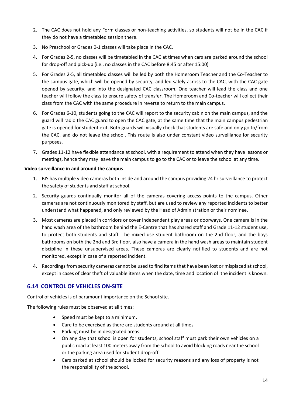- 2. The CAC does not hold any Form classes or non-teaching activities, so students will not be in the CAC if they do not have a timetabled session there.
- 3. No Preschool or Grades 0-1 classes will take place in the CAC.
- 4. For Grades 2-5, no classes will be timetabled in the CAC at times when cars are parked around the school for drop-off and pick-up (i.e., no classes in the CAC before 8:45 or after 15:00)
- 5. For Grades 2-5, all timetabled classes will be led by both the Homeroom Teacher and the Co-Teacher to the campus gate, which will be opened by security, and led safely across to the CAC, with the CAC gate opened by security, and into the designated CAC classroom. One teacher will lead the class and one teacher will follow the class to ensure safety of transfer. The Homeroom and Co-teacher will collect their class from the CAC with the same procedure in reverse to return to the main campus.
- 6. For Grades 6-10, students going to the CAC will report to the security cabin on the main campus, and the guard will radio the CAC guard to open the CAC gate, at the same time that the main campus pedestrian gate is opened for student exit. Both guards will visually check that students are safe and only go to/from the CAC, and do not leave the school. This route is also under constant video surveillance for security purposes.
- 7. Grades 11-12 have flexible attendance at school, with a requirement to attend when they have lessons or meetings, hence they may leave the main campus to go to the CAC or to leave the school at any time.

## **Video surveillance in and around the campus**

- 1. BIS has multiple video cameras both inside and around the campus providing 24 hr surveillance to protect the safety of students and staff at school.
- 2. Security guards continually monitor all of the cameras covering access points to the campus. Other cameras are not continuously monitored by staff, but are used to review any reported incidents to better understand what happened, and only reviewed by the Head of Administration or their nominee.
- 3. Most cameras are placed in corridors or cover independent play areas or doorways. One camera is in the hand wash area of the bathroom behind the E-Centre that has shared staff and Grade 11-12 student use, to protect both students and staff. The mixed use student bathroom on the 2nd floor, and the boys bathrooms on both the 2nd and 3rd floor, also have a camera in the hand wash areas to maintain student discipline in these unsupervised areas. These cameras are clearly notified to students and are not monitored, except in case of a reported incident.
- 4. Recordings from security cameras cannot be used to find items that have been lost or misplaced at school, except in cases of clear theft of valuable items when the date, time and location of the incident is known.

## <span id="page-17-0"></span>**6.14 CONTROL OF VEHICLES ON-SITE**

Control of vehicles is of paramount importance on the School site.

The following rules must be observed at all times:

- Speed must be kept to a minimum.
- Care to be exercised as there are students around at all times.
- Parking must be in designated areas.
- On any day that school is open for students, school staff must park their own vehicles on a public road at least 100 meters away from the school to avoid blocking roads near the school or the parking area used for student drop-off.
- Cars parked at school should be locked for security reasons and any loss of property is not the responsibility of the school.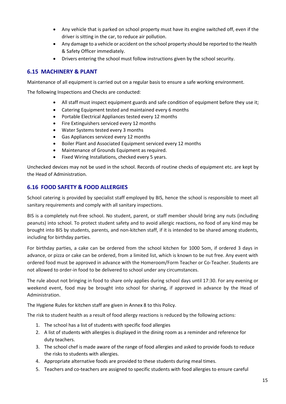- Any vehicle that is parked on school property must have its engine switched off, even if the driver is sitting in the car, to reduce air pollution.
- Any damage to a vehicle or accident on the school property should be reported to the Health & Safety Officer immediately.
- Drivers entering the school must follow instructions given by the school security.

## <span id="page-18-0"></span>**6.15 MACHINERY & PLANT**

Maintenance of all equipment is carried out on a regular basis to ensure a safe working environment.

The following Inspections and Checks are conducted:

- All staff must inspect equipment guards and safe condition of equipment before they use it;
- Catering Equipment tested and maintained every 6 months
- Portable Electrical Appliances tested every 12 months
- Fire Extinguishers serviced every 12 months
- Water Systems tested every 3 months
- Gas Appliances serviced every 12 months
- Boiler Plant and Associated Equipment serviced every 12 months
- Maintenance of Grounds Equipment as required.
- Fixed Wiring Installations, checked every 5 years.

Unchecked devices may not be used in the school. Records of routine checks of equipment etc. are kept by the Head of Administration.

## <span id="page-18-1"></span>**6.16 FOOD SAFETY & FOOD ALLERGIES**

School catering is provided by specialist staff employed by BIS, hence the school is responsible to meet all sanitary requirements and comply with all sanitary inspections.

BIS is a completely nut-free school. No student, parent, or staff member should bring any nuts (including peanuts) into school. To protect student safety and to avoid allergic reactions, no food of any kind may be brought into BIS by students, parents, and non-kitchen staff, if it is intended to be shared among students, including for birthday parties.

For birthday parties, a cake can be ordered from the school kitchen for 1000 Som, if ordered 3 days in advance, or pizza or cake can be ordered, from a limited list, which is known to be nut free. Any event with ordered food must be approved in advance with the Homeroom/Form Teacher or Co-Teacher. Students are not allowed to order-in food to be delivered to school under any circumstances.

The rule about not bringing in food to share only applies during school days until 17:30. For any evening or weekend event, food may be brought into school for sharing, if approved in advance by the Head of Administration.

The Hygiene Rules for kitchen staff are given in Annex 8 to this Policy.

The risk to student health as a result of food allergy reactions is reduced by the following actions:

- 1. The school has a list of students with specific food allergies
- 2. A list of students with allergies is displayed in the dining room as a reminder and reference for duty teachers.
- 3. The school chef is made aware of the range of food allergies and asked to provide foods to reduce the risks to students with allergies.
- 4. Appropriate alternative foods are provided to these students during meal times.
- 5. Teachers and co-teachers are assigned to specific students with food allergies to ensure careful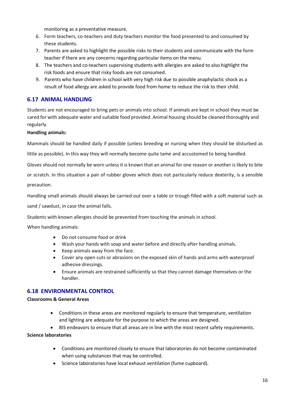monitoring as a preventative measure.

- 6. Form teachers, co-teachers and duty teachers monitor the food presented to and consumed by these students.
- 7. Parents are asked to highlight the possible risks to their students and communicate with the form teacher if there are any concerns regarding particular items on the menu.
- 8. The teachers and co-teachers supervising students with allergies are asked to also highlight the risk foods and ensure that risky foods are not consumed.
- 9. Parents who have children in school with very high risk due to possible anaphylactic shock as a result of food allergy are asked to provide food from home to reduce the risk to their child.

## <span id="page-19-0"></span>**6.17 ANIMAL HANDLING**

Students are not encouraged to bring pets or animals into school. If animals are kept in school they must be cared for with adequate water and suitable food provided. Animal housing should be cleaned thoroughly and regularly.

#### **Handling animals:**

Mammals should be handled daily if possible (unless breeding or nursing when they should be disturbed as

little as possible). In this way they will normally become quite tame and accustomed to being handled.

Gloves should not normally be worn unless it is known that an animal for one reason or another is likely to bite

or scratch. In this situation a pair of rubber gloves which does not particularly reduce dexterity, is a sensible

precaution.

Handling small animals should always be carried out over a table or trough filled with a soft material such as

sand / sawdust, in case the animal falls.

Students with known allergies should be prevented from touching the animals in school.

When handling animals:

- Do not consume food or drink
- Wash your hands with soap and water before and directly after handling animals.
- Keep animals away from the face.
- Cover any open cuts or abrasions on the exposed skin of hands and arms with waterproof adhesive dressings.
- Ensure animals are restrained sufficiently so that they cannot damage themselves or the handler.

## <span id="page-19-1"></span>**6.18 ENVIRONMENTAL CONTROL**

#### **Classrooms & General Areas**

- Conditions in these areas are monitored regularly to ensure that temperature, ventilation and lighting are adequate for the purpose to which the areas are designed.
- BIS endeavors to ensure that all areas are in line with the most recent safety requirements.

**Science laboratories**

- Conditions are monitored closely to ensure that laboratories do not become contaminated when using substances that may be controlled.
- Science laboratories have local exhaust ventilation (fume cupboard).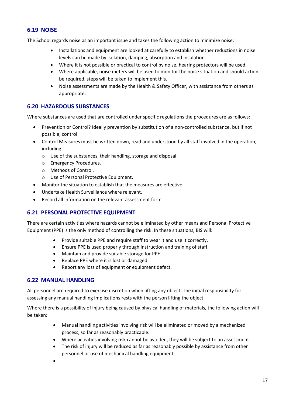## <span id="page-20-0"></span>**6.19 NOISE**

The School regards noise as an important issue and takes the following action to minimize noise:

- Installations and equipment are looked at carefully to establish whether reductions in noise levels can be made by isolation, damping, absorption and insulation.
- Where it is not possible or practical to control by noise, hearing protectors will be used.
- Where applicable, noise meters will be used to monitor the noise situation and should action be required, steps will be taken to implement this.
- Noise assessments are made by the Health & Safety Officer, with assistance from others as appropriate.

## <span id="page-20-1"></span>**6.20 HAZARDOUS SUBSTANCES**

Where substances are used that are controlled under specific regulations the procedures are as follows:

- Prevention or Control? Ideally prevention by substitution of a non-controlled substance, but if not possible, control.
- Control Measures must be written down, read and understood by all staff involved in the operation, including:
	- o Use of the substances, their handling, storage and disposal.
	- o Emergency Procedures.
	- o Methods of Control.
	- o Use of Personal Protective Equipment.
- Monitor the situation to establish that the measures are effective.
- Undertake Health Surveillance where relevant.
- Record all information on the relevant assessment form.

## <span id="page-20-2"></span>**6.21 PERSONAL PROTECTIVE EQUIPMENT**

There are certain activities where hazards cannot be eliminated by other means and Personal Protective Equipment (PPE) is the only method of controlling the risk. In these situations, BIS will:

- Provide suitable PPE and require staff to wear it and use it correctly.
- Ensure PPE is used properly through instruction and training of staff.
- Maintain and provide suitable storage for PPE.
- Replace PPE where it is lost or damaged.
- Report any loss of equipment or equipment defect.

## <span id="page-20-3"></span>**6.22 MANUAL HANDLING**

All personnel are required to exercise discretion when lifting any object. The initial responsibility for assessing any manual handling implications rests with the person lifting the object.

Where there is a possibility of injury being caused by physical handling of materials, the following action will be taken:

- Manual handling activities involving risk will be eliminated or moved by a mechanized process, so far as reasonably practicable.
- Where activities involving risk cannot be avoided, they will be subject to an assessment.
- The risk of injury will be reduced as far as reasonably possible by assistance from other personnel or use of mechanical handling equipment.
- •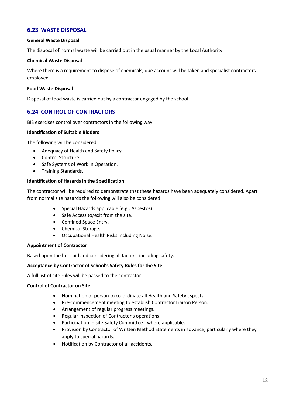## <span id="page-21-0"></span>**6.23 WASTE DISPOSAL**

#### **General Waste Disposal**

The disposal of normal waste will be carried out in the usual manner by the Local Authority.

#### **Chemical Waste Disposal**

Where there is a requirement to dispose of chemicals, due account will be taken and specialist contractors employed.

#### **Food Waste Disposal**

Disposal of food waste is carried out by a contractor engaged by the school.

## <span id="page-21-1"></span>**6.24 CONTROL OF CONTRACTORS**

BIS exercises control over contractors in the following way:

#### **Identification of Suitable Bidders**

The following will be considered:

- Adequacy of Health and Safety Policy.
- Control Structure.
- Safe Systems of Work in Operation.
- Training Standards.

#### **Identification of Hazards in the Specification**

The contractor will be required to demonstrate that these hazards have been adequately considered. Apart from normal site hazards the following will also be considered:

- Special Hazards applicable (e.g.: Asbestos).
- Safe Access to/exit from the site.
- Confined Space Entry.
- Chemical Storage.
- Occupational Health Risks including Noise.

## **Appointment of Contractor**

Based upon the best bid and considering all factors, including safety.

#### **Acceptance by Contractor of School's Safety Rules for the Site**

A full list of site rules will be passed to the contractor.

#### **Control of Contractor on Site**

- Nomination of person to co-ordinate all Health and Safety aspects.
- Pre-commencement meeting to establish Contractor Liaison Person.
- Arrangement of regular progress meetings.
- Regular inspection of Contractor's operations.
- Participation in site Safety Committee where applicable.
- Provision by Contractor of Written Method Statements in advance, particularly where they apply to special hazards.
- Notification by Contractor of all accidents.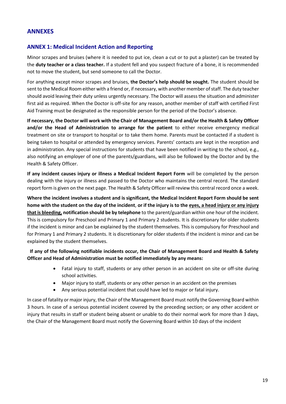## <span id="page-22-0"></span>**ANNEXES**

## <span id="page-22-1"></span>**ANNEX 1: Medical Incident Action and Reporting**

Minor scrapes and bruises (where it is needed to put ice, clean a cut or to put a plaster) can be treated by the **duty teacher or a class teacher.** If a student fell and you suspect fracture of a bone, it is recommended not to move the student, but send someone to call the Doctor.

For anything except minor scrapes and bruises, **the Doctor's help should be sought.** The student should be sent to the Medical Room either with a friend or, if necessary, with another member of staff. The duty teacher should avoid leaving their duty unless urgently necessary. The Doctor will assess the situation and administer first aid as required. When the Doctor is off-site for any reason, another member of staff with certified First Aid Training must be designated as the responsible person for the period of the Doctor's absence.

**If necessary, the Doctor will work with the Chair of Management Board and/or the Health & Safety Officer and/or the Head of Administration to arrange for the patient** to either receive emergency medical treatment on site or transport to hospital or to take them home. Parents must be contacted if a student is being taken to hospital or attended by emergency services. Parents' contacts are kept in the reception and in administration. Any special instructions for students that have been notified in writing to the school, e.g., also notifying an employer of one of the parents/guardians, will also be followed by the Doctor and by the Health & Safety Officer.

**If any incident causes injury or illness a Medical Incident Report Form** will be completed by the person dealing with the injury or illness and passed to the Doctor who maintains the central record. The standard report form is given on the next page. The Health & Safety Officer will review this central record once a week.

**Where the incident involves a student and is significant, the Medical Incident Report Form should be sent home with the student on the day of the incident**, **or if the injury is to the eyes, a head injury or any injury that is bleeding, notification should be by telephone** to the parent/guardian within one hour of the incident. This is compulsory for Preschool and Primary 1 and Primary 2 students. It is discretionary for older students if the incident is minor and can be explained by the student themselves. This is compulsory for Preschool and for Primary 1 and Primary 2 students. It is discretionary for older students if the incident is minor and can be explained by the student themselves.

**If any of the following notifiable incidents occur, the Chair of Management Board and Health & Safety Officer and Head of Administration must be notified immediately by any means:**

- Fatal injury to staff, students or any other person in an accident on site or off-site during school activities.
- Major injury to staff, students or any other person in an accident on the premises
- Any serious potential incident that could have led to major or fatal injury.

In case of fatality or major injury, the Chair of the Management Board must notify the Governing Board within 3 hours. In case of a serious potential incident covered by the preceding section; or any other accident or injury that results in staff or student being absent or unable to do their normal work for more than 3 days, the Chair of the Management Board must notify the Governing Board within 10 days of the incident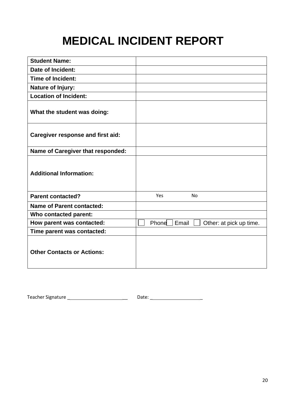## **MEDICAL INCIDENT REPORT**

| <b>Student Name:</b>                     |                                           |
|------------------------------------------|-------------------------------------------|
| <b>Date of Incident:</b>                 |                                           |
| <b>Time of Incident:</b>                 |                                           |
| <b>Nature of Injury:</b>                 |                                           |
| <b>Location of Incident:</b>             |                                           |
| What the student was doing:              |                                           |
| <b>Caregiver response and first aid:</b> |                                           |
| Name of Caregiver that responded:        |                                           |
| <b>Additional Information:</b>           |                                           |
| <b>Parent contacted?</b>                 | Yes<br>No                                 |
| <b>Name of Parent contacted:</b>         |                                           |
| Who contacted parent:                    |                                           |
| How parent was contacted:                | Email<br>Phone<br>Other: at pick up time. |
| Time parent was contacted:               |                                           |
| <b>Other Contacts or Actions:</b>        |                                           |

Teacher Signature \_ \_\_ Date: \_ \_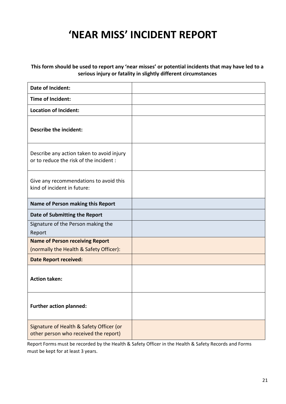## **'NEAR MISS' INCIDENT REPORT**

## **This form should be used to report any 'near misses' or potential incidents that may have led to a serious injury or fatality in slightly different circumstances**

| Date of Incident:                                                                    |  |
|--------------------------------------------------------------------------------------|--|
| Time of Incident:                                                                    |  |
| <b>Location of Incident:</b>                                                         |  |
| Describe the incident:                                                               |  |
| Describe any action taken to avoid injury<br>or to reduce the risk of the incident : |  |
| Give any recommendations to avoid this<br>kind of incident in future:                |  |
| Name of Person making this Report                                                    |  |
| Date of Submitting the Report                                                        |  |
| Signature of the Person making the<br>Report                                         |  |
| <b>Name of Person receiving Report</b>                                               |  |
| (normally the Health & Safety Officer):                                              |  |
| <b>Date Report received:</b>                                                         |  |
| <b>Action taken:</b>                                                                 |  |
| <b>Further action planned:</b>                                                       |  |
| Signature of Health & Safety Officer (or<br>other person who received the report)    |  |

Report Forms must be recorded by the Health & Safety Officer in the Health & Safety Records and Forms must be kept for at least 3 years.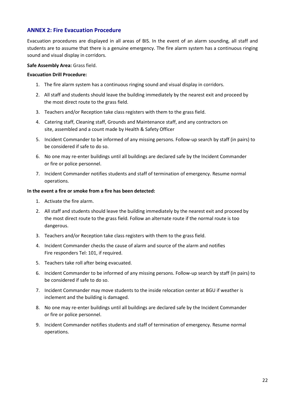## <span id="page-25-0"></span>**ANNEX 2: Fire Evacuation Procedure**

Evacuation procedures are displayed in all areas of BIS. In the event of an alarm sounding, all staff and students are to assume that there is a genuine emergency. The fire alarm system has a continuous ringing sound and visual display in corridors.

#### **Safe Assembly Area:** Grass field.

#### **Evacuation Drill Procedure:**

- 1. The fire alarm system has a continuous ringing sound and visual display in corridors.
- 2. All staff and students should leave the building immediately by the nearest exit and proceed by the most direct route to the grass field.
- 3. Teachers and/or Reception take class registers with them to the grass field.
- 4. Catering staff, Cleaning staff, Grounds and Maintenance staff, and any contractors on site, assembled and a count made by Health & Safety Officer
- 5. Incident Commander to be informed of any missing persons. Follow-up search by staff (in pairs) to be considered if safe to do so.
- 6. No one may re-enter buildings until all buildings are declared safe by the Incident Commander or fire or police personnel.
- 7. Incident Commander notifies students and staff of termination of emergency. Resume normal operations.

#### **In the event a fire or smoke from a fire has been detected:**

- 1. Activate the fire alarm.
- 2. All staff and students should leave the building immediately by the nearest exit and proceed by the most direct route to the grass field. Follow an alternate route if the normal route is too dangerous.
- 3. Teachers and/or Reception take class registers with them to the grass field.
- 4. Incident Commander checks the cause of alarm and source of the alarm and notifies Fire responders Tel: 101, if required.
- 5. Teachers take roll after being evacuated.
- 6. Incident Commander to be informed of any missing persons. Follow-up search by staff (in pairs) to be considered if safe to do so.
- 7. Incident Commander may move students to the inside relocation center at BGU if weather is inclement and the building is damaged.
- 8. No one may re-enter buildings until all buildings are declared safe by the Incident Commander or fire or police personnel.
- 9. Incident Commander notifies students and staff of termination of emergency. Resume normal operations.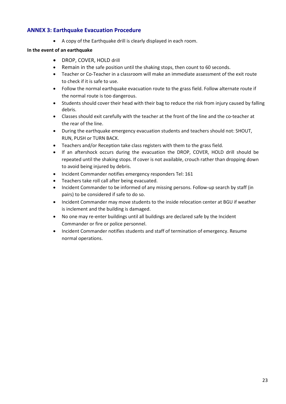## <span id="page-26-0"></span>**ANNEX 3: Earthquake Evacuation Procedure**

• A copy of the Earthquake drill is clearly displayed in each room.

## **In the event of an earthquake**

- DROP, COVER, HOLD drill
- Remain in the safe position until the shaking stops, then count to 60 seconds.
- Teacher or Co-Teacher in a classroom will make an immediate assessment of the exit route to check if it is safe to use.
- Follow the normal earthquake evacuation route to the grass field. Follow alternate route if the normal route is too dangerous.
- Students should cover their head with their bag to reduce the risk from injury caused by falling debris.
- Classes should exit carefully with the teacher at the front of the line and the co-teacher at the rear of the line.
- During the earthquake emergency evacuation students and teachers should not: SHOUT, RUN, PUSH or TURN BACK.
- Teachers and/or Reception take class registers with them to the grass field.
- If an aftershock occurs during the evacuation the DROP, COVER, HOLD drill should be repeated until the shaking stops. If cover is not available, crouch rather than dropping down to avoid being injured by debris.
- Incident Commander notifies emergency responders Tel: 161
- Teachers take roll call after being evacuated.
- Incident Commander to be informed of any missing persons. Follow-up search by staff (in pairs) to be considered if safe to do so.
- Incident Commander may move students to the inside relocation center at BGU if weather is inclement and the building is damaged.
- No one may re-enter buildings until all buildings are declared safe by the Incident Commander or fire or police personnel.
- Incident Commander notifies students and staff of termination of emergency. Resume normal operations.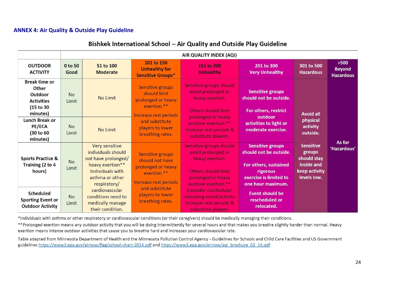## **ANNEX 4: Air Quality & Outside Play Guideline**

| Bishkek International School – Air Quality and Outside Play Guideline |  |
|-----------------------------------------------------------------------|--|
|-----------------------------------------------------------------------|--|

|                                                                                                                                                                   | AIR QUALITY INDEX (AQI)                  |                                                                                                                                                                                                    |                                                                                                                                                             |                                                                                                                                                                                                                       |                                                                                                                                                                                   |                                                                                         |                                             |  |  |  |
|-------------------------------------------------------------------------------------------------------------------------------------------------------------------|------------------------------------------|----------------------------------------------------------------------------------------------------------------------------------------------------------------------------------------------------|-------------------------------------------------------------------------------------------------------------------------------------------------------------|-----------------------------------------------------------------------------------------------------------------------------------------------------------------------------------------------------------------------|-----------------------------------------------------------------------------------------------------------------------------------------------------------------------------------|-----------------------------------------------------------------------------------------|---------------------------------------------|--|--|--|
| <b>OUTDOOR</b><br><b>ACTIVITY</b>                                                                                                                                 | 0 to 50<br>Good                          | 51 to 100<br><b>Moderate</b>                                                                                                                                                                       | 101 to 150<br><b>Unhealthy for</b><br><b>Sensitive Groups*</b>                                                                                              | 151 to 200<br><b>Unhealthy</b>                                                                                                                                                                                        | 201 to 300<br><b>Very Unhealthy</b>                                                                                                                                               | 301 to 500<br><b>Hazardous</b>                                                          | $>500$<br><b>Beyond</b><br><b>Hazardous</b> |  |  |  |
| <b>Break time or</b><br><b>Other</b><br>Outdoor<br><b>Activities</b><br>(15 to 30)<br>minutes)<br><b>Lunch Break or</b><br><b>PE/ECA</b><br>(30 to 60<br>minutes) | <b>No</b><br>Limit<br><b>No</b><br>Limit | No Limit<br>No Limit                                                                                                                                                                               | Sensitive groups<br>should limit<br>prolonged or heavy<br>exertion.**<br>Increase rest periods<br>and substitute<br>players to lower<br>breathing rates.    | Sensitive groups should<br>avoid prolonged or<br>heavy exertion.<br>Others should limit<br>prolonged or heavy<br>outdoor exertion.**<br>Increase rest periods &<br>substitute players.                                | <b>Sensitive groups</b><br>should not be outside.<br>For others, restrict<br>outdoor<br>activities to light or<br>moderate exercise.                                              | <b>Avoid all</b><br>physical<br>activity<br>outside.                                    |                                             |  |  |  |
| <b>Sports Practice &amp;</b><br>Training (2 to 4<br>hours)<br><b>Scheduled</b><br><b>Sporting Event or</b>                                                        | <b>No</b><br>Limit<br><b>No</b><br>Limit | Very sensitive<br>individuals should<br>not have prolonged/<br>heavy exertion**<br>Individuals with<br>asthma or other<br>respiratory/<br>cardiovascular<br>conditions need to<br>medically manage | Sensitive groups<br>should not have<br>prolonged or heavy<br>exertion.**<br>Increase rest periods<br>and substitute<br>players to lower<br>breathing rates. | Sensitive groups should<br>avoid prolonged or<br>heavy exertion.<br>Others should limit<br>prolonged or heavy<br>outdoor exertion.**<br>Consider reschedule/<br>relocating event/activity.<br>Increase rest periods & | <b>Sensitive groups</b><br>should not be outside.<br>For others, sustained<br>rigorous<br>exercise is limited to<br>one hour maximum.<br><b>Event should be</b><br>rescheduled or | <b>Sensitive</b><br>groups<br>should stay<br>inside and<br>keep activity<br>levels low. | As for<br>'Hazardous'                       |  |  |  |

<span id="page-27-0"></span>\*Individuals with asthma or other respiratory or cardiovascular conditions (or their caregivers) should be medically managing their conditions.

\*\*Prolonged exertion means any outdoor activity that you will be doing intermittently for several hours and that makes you breathe slightly harder than normal. Heavy exertion means intense outdoor activities that cause you to breathe hard and increases your cardiovascular rate.

Table adapted from Minnesota Department of Health and the Minnesota Pollution Control Agency - Guidelines for Schools and Child Care Facilities and US Government guidelines https://www3.epa.gov/airnow/flag/school-chart-2014.pdf and https://www3.epa.gov/airnow/aqi brochure 02 14.pdf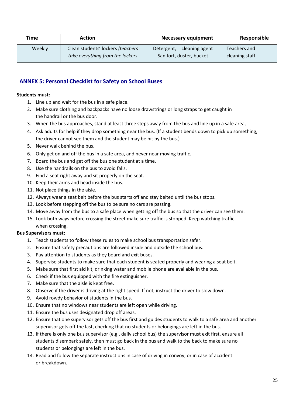| Time   | Action                                                                | <b>Necessary equipment</b>                               | Responsible                    |  |
|--------|-----------------------------------------------------------------------|----------------------------------------------------------|--------------------------------|--|
| Weekly | Clean students' lockers (teachers<br>take everything from the lockers | cleaning agent<br>Detergent,<br>Sanifort, duster, bucket | Teachers and<br>cleaning staff |  |

## <span id="page-28-0"></span>**ANNEX 5: Personal Checklist for Safety on School Buses**

#### **Students must:**

- 1. Line up and wait for the bus in a safe place.
- 2. Make sure clothing and backpacks have no loose drawstrings or long straps to get caught in the handrail or the bus door.
- 3. When the bus approaches, stand at least three steps away from the bus and line up in a safe area,
- 4. Ask adults for help if they drop something near the bus. (If a student bends down to pick up something, the driver cannot see them and the student may be hit by the bus.)
- 5. Never walk behind the bus.
- 6. Only get on and off the bus in a safe area, and never near moving traffic.
- 7. Board the bus and get off the bus one student at a time.
- 8. Use the handrails on the bus to avoid falls.
- 9. Find a seat right away and sit properly on the seat.
- 10. Keep their arms and head inside the bus.
- 11. Not place things in the aisle.
- 12. Always wear a seat belt before the bus starts off and stay belted until the bus stops.
- 13. Look before stepping off the bus to be sure no cars are passing.
- 14. Move away from the bus to a safe place when getting off the bus so that the driver can see them.
- 15. Look both ways before crossing the street make sure traffic is stopped. Keep watching traffic when crossing.

## **Bus Supervisors must:**

- 1. Teach students to follow these rules to make school bus transportation safer.
- 2. Ensure that safety precautions are followed inside and outside the school bus.
- 3. Pay attention to students as they board and exit buses.
- 4. Supervise students to make sure that each student is seated properly and wearing a seat belt.
- 5. Make sure that first aid kit, drinking water and mobile phone are available in the bus.
- 6. Check if the bus equipped with the fire extinguisher.
- 7. Make sure that the aisle is kept free.
- 8. Observe if the driver is driving at the right speed. If not, instruct the driver to slow down.
- 9. Avoid rowdy behavior of students in the bus.
- 10. Ensure that no windows near students are left open while driving.
- 11. Ensure the bus uses designated drop off areas.
- 12. Ensure that one supervisor gets off the bus first and guides students to walk to a safe area and another supervisor gets off the last, checking that no students or belongings are left in the bus.
- 13. If there is only one bus supervisor (e.g., daily school bus) the supervisor must exit first, ensure all students disembark safely, then must go back in the bus and walk to the back to make sure no students or belongings are left in the bus.
- 14. Read and follow the separate instructions in case of driving in convoy, or in case of accident or breakdown.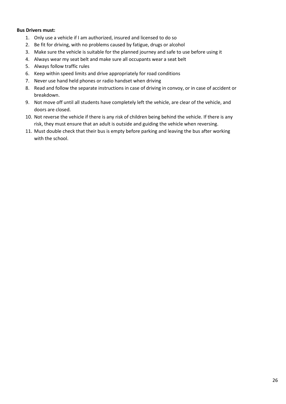#### **Bus Drivers must:**

- 1. Only use a vehicle if I am authorized, insured and licensed to do so
- 2. Be fit for driving, with no problems caused by fatigue, drugs or alcohol
- 3. Make sure the vehicle is suitable for the planned journey and safe to use before using it
- 4. Always wear my seat belt and make sure all occupants wear a seat belt
- 5. Always follow traffic rules
- 6. Keep within speed limits and drive appropriately for road conditions
- 7. Never use hand held phones or radio handset when driving
- 8. Read and follow the separate instructions in case of driving in convoy, or in case of accident or breakdown.
- 9. Not move off until all students have completely left the vehicle, are clear of the vehicle, and doors are closed.
- 10. Not reverse the vehicle if there is any risk of children being behind the vehicle. If there is any risk, they must ensure that an adult is outside and guiding the vehicle when reversing.
- 11. Must double check that their bus is empty before parking and leaving the bus after working with the school.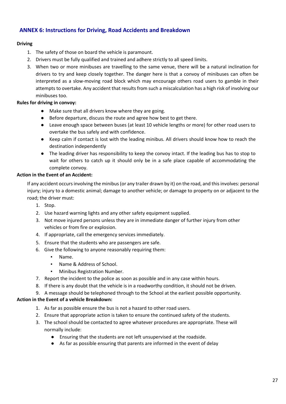## <span id="page-30-0"></span>**ANNEX 6: Instructions for Driving, Road Accidents and Breakdown**

## **Driving**

- 1. The safety of those on board the vehicle is paramount.
- 2. Drivers must be fully qualified and trained and adhere strictly to all speed limits.
- 3. When two or more minibuses are travelling to the same venue, there will be a natural inclination for drivers to try and keep closely together. The danger here is that a convoy of minibuses can often be interpreted as a slow-moving road block which may encourage others road users to gamble in their attempts to overtake. Any accident that results from such a miscalculation has a high risk of involving our minibuses too.

## **Rules for driving in convoy:**

- Make sure that all drivers know where they are going.
- Before departure, discuss the route and agree how best to get there.
- Leave enough space between buses (at least 10 vehicle lengths or more) for other road users to overtake the bus safely and with confidence.
- Keep calm if contact is lost with the leading minibus. All drivers should know how to reach the destination independently
- The leading driver has responsibility to keep the convoy intact. If the leading bus has to stop to wait for others to catch up it should only be in a safe place capable of accommodating the complete convoy.

## **Action in the Event of an Accident:**

If any accident occurs involving the minibus (or any trailer drawn by it) on the road, and this involves: personal injury; injury to a domestic animal; damage to another vehicle; or damage to property on or adjacent to the road; the driver must:

- 1. Stop.
- 2. Use hazard warning lights and any other safety equipment supplied.
- 3. Not move injured persons unless they are in immediate danger of further injury from other vehicles or from fire or explosion.
- 4. If appropriate, call the emergency services immediately.
- 5. Ensure that the students who are passengers are safe.
- 6. Give the following to anyone reasonably requiring them:
	- Name.
	- Name & Address of School.
	- Minibus Registration Number.
- 7. Report the incident to the police as soon as possible and in any case within hours.
- 8. If there is any doubt that the vehicle is in a roadworthy condition, it should not be driven.

9. A message should be telephoned through to the School at the earliest possible opportunity.

## **Action in the Event of a vehicle Breakdown:**

- 1. As far as possible ensure the bus is not a hazard to other road users.
- 2. Ensure that appropriate action is taken to ensure the continued safety of the students.
- 3. The school should be contacted to agree whatever procedures are appropriate. These will normally include:
	- Ensuring that the students are not left unsupervised at the roadside.
	- As far as possible ensuring that parents are informed in the event of delay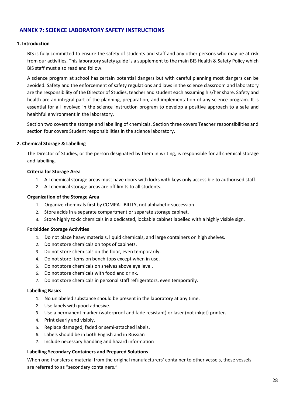## <span id="page-31-0"></span>**ANNEX 7: SCIENCE LABORATORY SAFETY INSTRUCTIONS**

#### **1. Introduction**

BIS is fully committed to ensure the safety of students and staff and any other persons who may be at risk from our activities. This laboratory safety guide is a supplement to the main BIS Health & Safety Policy which BIS staff must also read and follow.

A science program at school has certain potential dangers but with careful planning most dangers can be avoided. Safety and the enforcement of safety regulations and laws in the science classroom and laboratory are the responsibility of the Director of Studies, teacher and student each assuming his/her share. Safety and health are an integral part of the planning, preparation, and implementation of any science program. It is essential for all involved in the science instruction program to develop a positive approach to a safe and healthful environment in the laboratory.

Section two covers the storage and labelling of chemicals. Section three covers Teacher responsibilities and section four covers Student responsibilities in the science laboratory.

#### **2. Chemical Storage & Labelling**

The Director of Studies, or the person designated by them in writing, is responsible for all chemical storage and labelling.

#### **Criteria for Storage Area**

- 1. All chemical storage areas must have doors with locks with keys only accessible to authorised staff.
- 2. All chemical storage areas are off limits to all students.

#### **Organization of the Storage Area**

- 1. Organize chemicals first by COMPATIBILITY, not alphabetic succession
- 2. Store acids in a separate compartment or separate storage cabinet.
- 3. Store highly toxic chemicals in a dedicated, lockable cabinet labelled with a highly visible sign.

## **Forbidden Storage Activities**

- 1. Do not place heavy materials, liquid chemicals, and large containers on high shelves.
- 2. Do not store chemicals on tops of cabinets.
- 3. Do not store chemicals on the floor, even temporarily.
- 4. Do not store items on bench tops except when in use.
- 5. Do not store chemicals on shelves above eye level.
- 6. Do not store chemicals with food and drink.
- 7. Do not store chemicals in personal staff refrigerators, even temporarily.

#### **Labelling Basics**

- 1. No unlabeled substance should be present in the laboratory at any time.
- 2. Use labels with good adhesive.
- 3. Use a permanent marker (waterproof and fade resistant) or laser (not inkjet) printer.
- 4. Print clearly and visibly.
- 5. Replace damaged, faded or semi-attached labels.
- 6. Labels should be in both English and in Russian
- 7. Include necessary handling and hazard information

#### **Labelling Secondary Containers and Prepared Solutions**

When one transfers a material from the original manufacturers' container to other vessels, these vessels are referred to as "secondary containers."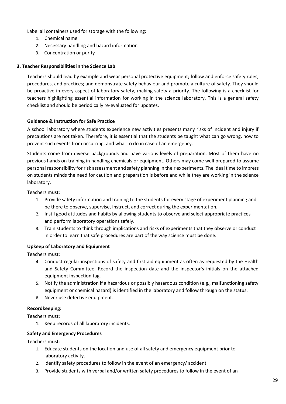Label all containers used for storage with the following:

- 1. Chemical name
- 2. Necessary handling and hazard information
- 3. Concentration or purity

## **3. Teacher Responsibilities in the Science Lab**

Teachers should lead by example and wear personal protective equipment; follow and enforce safety rules, procedures, and practices; and demonstrate safety behaviour and promote a culture of safety. They should be proactive in every aspect of laboratory safety, making safety a priority. The following is a checklist for teachers highlighting essential information for working in the science laboratory. This is a general safety checklist and should be periodically re-evaluated for updates.

## **Guidance & Instruction for Safe Practice**

A school laboratory where students experience new activities presents many risks of incident and injury if precautions are not taken. Therefore, it is essential that the students be taught what can go wrong, how to prevent such events from occurring, and what to do in case of an emergency.

Students come from diverse backgrounds and have various levels of preparation. Most of them have no previous hands on training in handling chemicals or equipment. Others may come well prepared to assume personal responsibility for risk assessment and safety planning in their experiments. The ideal time to impress on students minds the need for caution and preparation is before and while they are working in the science laboratory.

Teachers must:

- 1. Provide safety information and training to the students for every stage of experiment planning and be there to observe, supervise, instruct, and correct during the experimentation.
- 2. Instil good attitudes and habits by allowing students to observe and select appropriate practices and perform laboratory operations safely.
- 3. Train students to think through implications and risks of experiments that they observe or conduct in order to learn that safe procedures are part of the way science must be done.

## **Upkeep of Laboratory and Equipment**

Teachers must:

- 4. Conduct regular inspections of safety and first aid equipment as often as requested by the Health and Safety Committee. Record the inspection date and the inspector's initials on the attached equipment inspection tag.
- 5. Notify the administration if a hazardous or possibly hazardous condition (e.g., malfunctioning safety equipment or chemical hazard) is identified in the laboratory and follow through on the status.
- 6. Never use defective equipment.

## **Recordkeeping:**

Teachers must:

1. Keep records of all laboratory incidents.

## **Safety and Emergency Procedures**

Teachers must:

- 1. Educate students on the location and use of all safety and emergency equipment prior to laboratory activity.
- 2. Identify safety procedures to follow in the event of an emergency/ accident.
- 3. Provide students with verbal and/or written safety procedures to follow in the event of an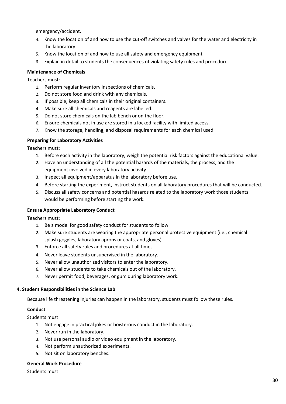emergency/accident.

- 4. Know the location of and how to use the cut-off switches and valves for the water and electricity in the laboratory.
- 5. Know the location of and how to use all safety and emergency equipment
- 6. Explain in detail to students the consequences of violating safety rules and procedure

#### **Maintenance of Chemicals**

Teachers must:

- 1. Perform regular inventory inspections of chemicals.
- 2. Do not store food and drink with any chemicals.
- 3. If possible, keep all chemicals in their original containers.
- 4. Make sure all chemicals and reagents are labelled.
- 5. Do not store chemicals on the lab bench or on the floor.
- 6. Ensure chemicals not in use are stored in a locked facility with limited access.
- 7. Know the storage, handling, and disposal requirements for each chemical used.

#### **Preparing for Laboratory Activities**

Teachers must:

- 1. Before each activity in the laboratory, weigh the potential risk factors against the educational value.
- 2. Have an understanding of all the potential hazards of the materials, the process, and the equipment involved in every laboratory activity.
- 3. Inspect all equipment/apparatus in the laboratory before use.
- 4. Before starting the experiment, instruct students on all laboratory procedures that will be conducted.
- 5. Discuss all safety concerns and potential hazards related to the laboratory work those students would be performing before starting the work.

#### **Ensure Appropriate Laboratory Conduct**

Teachers must:

- 1. Be a model for good safety conduct for students to follow.
- 2. Make sure students are wearing the appropriate personal protective equipment (i.e., chemical splash goggles, laboratory aprons or coats, and gloves).
- 3. Enforce all safety rules and procedures at all times.
- 4. Never leave students unsupervised in the laboratory.
- 5. Never allow unauthorized visitors to enter the laboratory.
- 6. Never allow students to take chemicals out of the laboratory.
- 7. Never permit food, beverages, or gum during laboratory work.

#### **4. Student Responsibilities in the Science Lab**

Because life threatening injuries can happen in the laboratory, students must follow these rules.

#### **Conduct**

Students must:

- 1. Not engage in practical jokes or boisterous conduct in the laboratory.
- 2. Never run in the laboratory.
- 3. Not use personal audio or video equipment in the laboratory.
- 4. Not perform unauthorized experiments.
- 5. Not sit on laboratory benches.

#### **General Work Procedure**

Students must: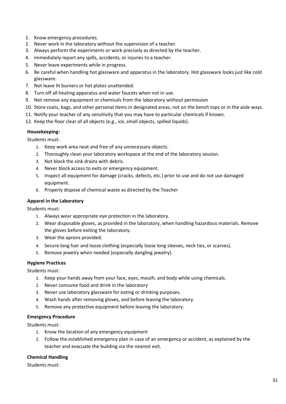- 1. Know emergency procedures.
- 2. Never work in the laboratory without the supervision of a teacher.
- 3. Always perform the experiments or work precisely as directed by the teacher.
- 4. Immediately report any spills, accidents, or injuries to a teacher.
- 5. Never leave experiments while in progress.
- 6. Be careful when handling hot glassware and apparatus in the laboratory. Hot glassware looks just like cold glassware.
- 7. Not leave lit burners or hot plates unattended.
- 8. Turn off all heating apparatus and water faucets when not in use.
- 9. Not remove any equipment or chemicals from the laboratory without permission
- 10. Store coats, bags, and other personal items in designated areas, not on the bench tops or in the aisle ways.
- 11. Notify your teacher of any sensitivity that you may have to particular chemicals if known.
- 12. Keep the floor clear of all objects (e.g., ice, small objects, spilled liquids).

## **Housekeeping:**

Students must:

- 1. Keep work area neat and free of any unnecessary objects.
- 2. Thoroughly clean your laboratory workspace at the end of the laboratory session.
- 3. Not block the sink drains with debris.
- 4. Never block access to exits or emergency equipment.
- 5. Inspect all equipment for damage (cracks, defects, etc.) prior to use and do not use damaged equipment.
- 6. Properly dispose of chemical waste as directed by the Teacher

## **Apparel in the Laboratory**

Students must:

- 1. Always wear appropriate eye protection in the laboratory.
- 2. Wear disposable gloves, as provided in the laboratory, when handling hazardous materials. Remove the gloves before exiting the laboratory.
- 3. Wear the aprons provided.
- 4. Secure long hair and loose clothing (especially loose long sleeves, neck ties, or scarves).
- 5. Remove jewelry when needed (especially dangling jewelry).

## **Hygiene Practices**

Students must:

- 1. Keep your hands away from your face, eyes, mouth, and body while using chemicals.
- 2. Never consume food and drink in the laboratory
- 3. Never use laboratory glassware for eating or drinking purposes.
- 4. Wash hands after removing gloves, and before leaving the laboratory.
- 5. Remove any protective equipment before leaving the laboratory.

## **Emergency Procedure**

Students must:

- 1. Know the location of any emergency equipment
- 2. Follow the established emergency plan in case of an emergency or accident, as explained by the teacher and evacuate the building via the nearest exit.

## **Chemical Handling**

Students must: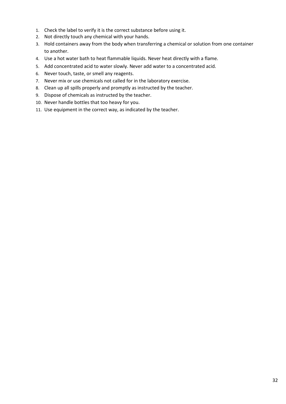- 1. Check the label to verify it is the correct substance before using it.
- 2. Not directly touch any chemical with your hands.
- 3. Hold containers away from the body when transferring a chemical or solution from one container to another.
- 4. Use a hot water bath to heat flammable liquids. Never heat directly with a flame.
- 5. Add concentrated acid to water slowly. Never add water to a concentrated acid.
- 6. Never touch, taste, or smell any reagents.
- 7. Never mix or use chemicals not called for in the laboratory exercise.
- 8. Clean up all spills properly and promptly as instructed by the teacher.
- 9. Dispose of chemicals as instructed by the teacher.
- 10. Never handle bottles that too heavy for you.
- 11. Use equipment in the correct way, as indicated by the teacher.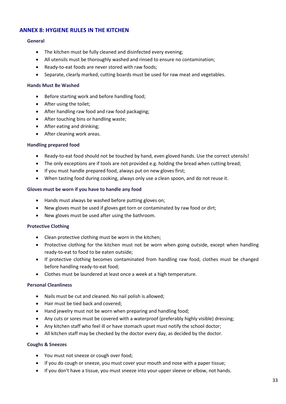## <span id="page-36-0"></span>**ANNEX 8: HYGIENE RULES IN THE KITCHEN**

#### **General**

- The kitchen must be fully cleaned and disinfected every evening;
- All utensils must be thoroughly washed and rinsed to ensure no contamination;
- Ready-to-eat foods are never stored with raw foods;
- Separate, clearly marked, cutting boards must be used for raw meat and vegetables.

#### **Hands Must Be Washed**

- Before starting work and before handling food;
- After using the toilet;
- After handling raw food and raw food packaging;
- After touching bins or handling waste;
- After eating and drinking;
- After cleaning work areas.

#### **Handling prepared food**

- Ready-to-eat food should not be touched by hand, even gloved hands. Use the correct utensils!
- The only exceptions are if tools are not provided e.g. holding the bread when cutting bread;
- If you must handle prepared food, always put on new gloves first;
- When tasting food during cooking, always only use a clean spoon, and do not reuse it.

#### **Gloves must be worn if you have to handle any food**

- Hands must always be washed before putting gloves on;
- New gloves must be used if gloves get torn or contaminated by raw food or dirt;
- New gloves must be used after using the bathroom.

#### **Protective Clothing**

- Clean protective clothing must be worn in the kitchen;
- Protective clothing for the kitchen must not be worn when going outside, except when handling ready-to-eat to food to be eaten outside;
- If protective clothing becomes contaminated from handling raw food, clothes must be changed before handling ready-to-eat food;
- Clothes must be laundered at least once a week at a high temperature.

#### **Personal Cleanliness**

- Nails must be cut and cleaned. No nail polish is allowed;
- Hair must be tied back and covered;
- Hand jewelry must not be worn when preparing and handling food;
- Any cuts or sores must be covered with a waterproof (preferably highly visible) dressing;
- Any kitchen staff who feel ill or have stomach upset must notify the school doctor;
- All kitchen staff may be checked by the doctor every day, as decided by the doctor.

#### **Coughs & Sneezes**

- You must not sneeze or cough over food;
- If you do cough or sneeze, you must cover your mouth and nose with a paper tissue;
- If you don't have a tissue, you must sneeze into your upper sleeve or elbow, not hands.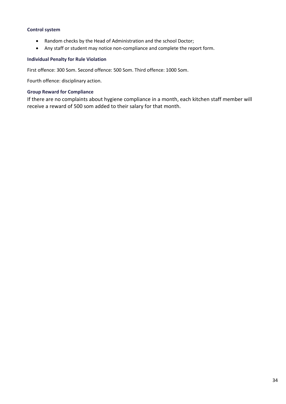## **Control system**

- Random checks by the Head of Administration and the school Doctor;
- Any staff or student may notice non-compliance and complete the report form.

#### **Individual Penalty for Rule Violation**

First offence: 300 Som. Second offence: 500 Som. Third offence: 1000 Som.

Fourth offence: disciplinary action.

## **Group Reward for Compliance**

If there are no complaints about hygiene compliance in a month, each kitchen staff member will receive a reward of 500 som added to their salary for that month.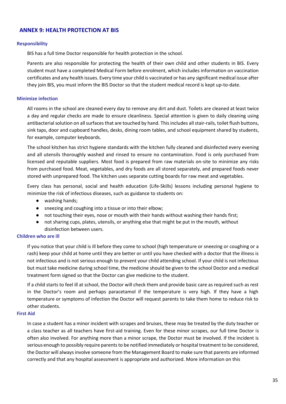## <span id="page-38-0"></span>**ANNEX 9: HEALTH PROTECTION AT BIS**

#### **Responsibility**

BIS has a full time Doctor responsible for health protection in the school.

Parents are also responsible for protecting the health of their own child and other students in BIS. Every student must have a completed Medical Form before enrolment, which includes information on vaccination certificates and any health issues. Every time your child is vaccinated or has any significant medical issue after they join BIS, you must inform the BIS Doctor so that the student medical record is kept up-to-date.

#### **Minimize infection**

All rooms in the school are cleaned every day to remove any dirt and dust. Toilets are cleaned at least twice a day and regular checks are made to ensure cleanliness. Special attention is given to daily cleaning using antibacterial solution on all surfaces that are touched by hand. This includes all stair-rails, toilet flush buttons, sink taps, door and cupboard handles, desks, dining room tables, and school equipment shared by students, for example, computer keyboards.

The school kitchen has strict hygiene standards with the kitchen fully cleaned and disinfected every evening and all utensils thoroughly washed and rinsed to ensure no contamination. Food is only purchased from licensed and reputable suppliers. Most food is prepared from raw materials on-site to minimize any risks from purchased food. Meat, vegetables, and dry foods are all stored separately, and prepared foods never stored with unprepared food. The kitchen uses separate cutting boards for raw meat and vegetables.

Every class has personal, social and health education (Life-Skills) lessons including personal hygiene to minimize the risk of infectious diseases, such as guidance to students on:

- washing hands;
- sneezing and coughing into a tissue or into their elbow;
- not touching their eyes, nose or mouth with their hands without washing their hands first;
- not sharing cups, plates, utensils, or anything else that might be put in the mouth, without disinfection between users.

#### **Children who are ill**

If you notice that your child is ill before they come to school (high temperature or sneezing or coughing or a rash) keep your child at home until they are better or until you have checked with a doctor that the illness is not infectious and is not serious enough to prevent your child attending school. If your child is not infectious but must take medicine during school time, the medicine should be given to the school Doctor and a medical treatment form signed so that the Doctor can give medicine to the student.

If a child starts to feel ill at school, the Doctor will check them and provide basic care as required such as rest in the Doctor's room and perhaps paracetamol if the temperature is very high. If they have a high temperature or symptoms of infection the Doctor will request parents to take them home to reduce risk to other students.

#### **First Aid**

In case a student has a minor incident with scrapes and bruises, these may be treated by the duty teacher or a class teacher as all teachers have first-aid training. Even for these minor scrapes, our full time Doctor is often also involved. For anything more than a minor scrape, the Doctor must be involved. If the incident is serious enough to possibly require parents to be notified immediately or hospital treatment to be considered, the Doctor will always involve someone from the Management Board to make sure that parents are informed correctly and that any hospital assessment is appropriate and authorized. More information on this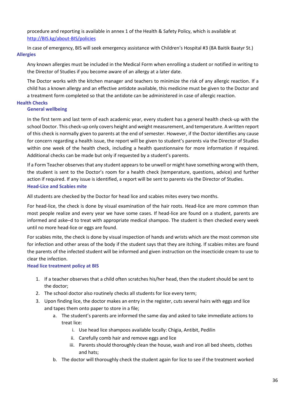procedure and reporting is available in annex 1 of the Health & Safety Policy, which is available at [http://BIS.kg/about-BIS/policies](http://esca.kg/about-esca/policies)

In case of emergency, BIS will seek emergency assistance with Children's Hospital #3 (8A Baitik Baatyr St.) **Allergies**

Any known allergies must be included in the Medical Form when enrolling a student or notified in writing to the Director of Studies if you become aware of an allergy at a later date.

The Doctor works with the kitchen manager and teachers to minimize the risk of any allergic reaction. If a child has a known allergy and an effective antidote available, this medicine must be given to the Doctor and a treatment form completed so that the antidote can be administered in case of allergic reaction.

#### **Health Checks**

#### **General wellbeing**

In the first term and last term of each academic year, every student has a general health check-up with the school Doctor. This check-up only covers height and weight measurement, and temperature. A written report of this check is normally given to parents at the end of semester. However, if the Doctor identifies any cause for concern regarding a health issue, the report will be given to student's parents via the Director of Studies within one week of the health check, including a health questionnaire for more information if required. Additional checks can be made but only if requested by a student's parents.

If a Form Teacher observes that any student appears to be unwell or might have something wrong with them, the student is sent to the Doctor's room for a health check (temperature, questions, advice) and further action if required. If any issue is identified, a report will be sent to parents via the Director of Studies. **Head-Lice and Scabies mite**

All students are checked by the Doctor for head lice and scabies mites every two months.

For head-lice, the check is done by visual examination of the hair roots. Head-lice are more common than most people realize and every year we have some cases. If head-lice are found on a student, parents are informed and aske–d to treat with appropriate medical shampoo. The student is then checked every week until no more head-lice or eggs are found.

For scabies mite, the check is done by visual inspection of hands and wrists which are the most common site for infection and other areas of the body if the student says that they are itching. If scabies mites are found the parents of the infected student will be informed and given instruction on the insecticide cream to use to clear the infection.

## **Head lice treatment policy at BIS**

- 1. If a teacher observes that a child often scratches his/her head, then the student should be sent to the doctor;
- 2. The school doctor also routinely checks all students for lice every term;
- 3. Upon finding lice, the doctor makes an entry in the register, cuts several hairs with eggs and lice and tapes them onto paper to store in a file;
	- a. The student's parents are informed the same day and asked to take immediate actions to treat lice:
		- i. Use head lice shampoos available locally: Chigia, Antibit, Pedilin
		- ii. Carefully comb hair and remove eggs and lice
		- iii. Parents should thoroughly clean the house, wash and iron all bed sheets, clothes and hats;
	- b. The doctor will thoroughly check the student again for lice to see if the treatment worked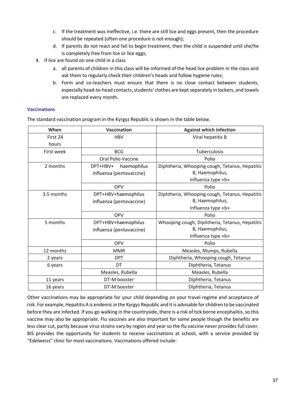- c. If the treatment was ineffective, i.e. there are still lice and eggs present, then the procedure should be repeated (often one procedure is not enough);
- d. If parents do not react and fail to begin treatment, then the child is suspended until she/he is completely free from lice or lice eggs;
- 4. If lice are found on one child in a class
	- a. all parents of children in this class will be informed of the head lice problem in the class and ask them to regularly check their children's heads and follow hygiene rules;
	- b. Form and co-teachers must ensure that there is no close contact between students, especially head-to-head contacts, students' clothes are kept separately in lockers, and towels are replaced every month.

## **Vaccinations**

The standard vaccination program in the Kyrgyz Republic is shown in the table below.

| When       | <b>Vaccination</b>                                  | <b>Against which infection</b>                                    |  |
|------------|-----------------------------------------------------|-------------------------------------------------------------------|--|
| First 24   | <b>HBV</b>                                          | Viral hepatitis B                                                 |  |
| hours      |                                                     |                                                                   |  |
| First week | <b>BCG</b>                                          | Tuberculosis                                                      |  |
|            | Oral Polio Vaccine                                  | Polio                                                             |  |
| 2 months   | DPT+HBV+<br>haemophilus<br>influenza (pentavaccine) | Diphtheria, Whooping cough, Tetanus, Hepatitis<br>B, Haemophilus, |  |
|            |                                                     | Influenza type «b»                                                |  |
|            | <b>OPV</b>                                          | Polio                                                             |  |
| 3.5 months | DPT+HBV+haemophilus                                 | Diphtheria, Whooping cough, Tetanus, Hepatitis                    |  |
|            | influenza (pentavaccine)                            | B, Haemophilus,                                                   |  |
|            |                                                     | Influenza type «b»                                                |  |
|            | <b>OPV</b>                                          | Polio                                                             |  |
| 5 months   | DPT+HBV+haemophilus                                 | Whooping cough, Diphtheria, Tetanus, Hepatitis                    |  |
|            | influenza (pentavaccine)                            | B, Haemophilus,                                                   |  |
|            |                                                     | Influenza type «b»                                                |  |
|            | <b>OPV</b>                                          | Polio                                                             |  |
| 12 months  | <b>MMR</b>                                          | Measles, Mumps, Rubella                                           |  |
| 2 years    | <b>DPT</b>                                          | Diphtheria, Whooping cough, Tetanus                               |  |
| 6 years    | DT                                                  | Diphtheria, Tetanus                                               |  |
|            | Measles, Rubella                                    | Measles, Rubella                                                  |  |
| 11 years   | DT-M booster                                        | Diphtheria, Tetanus                                               |  |
| 16 years   | DT-M booster                                        | Diphtheria, Tetanus                                               |  |

Other vaccinations may be appropriate for your child depending on your travel regime and acceptance of risk. For example, Hepatitis A is endemic in the Kyrgyz Republic and it is advisable for children to be vaccinated before they are infected. If you go walking in the countryside, there is a risk of tick borne encephalitis, so this vaccine may also be appropriate. Flu vaccines are also important for some people though the benefits are less clear cut, partly because virus strains vary by region and year so the flu vaccine never provides full cover. BIS provides the opportunity for students to receive vaccinations at school, with a service provided by "Edelweiss" clinic for most vaccinations. Vaccinations offered include: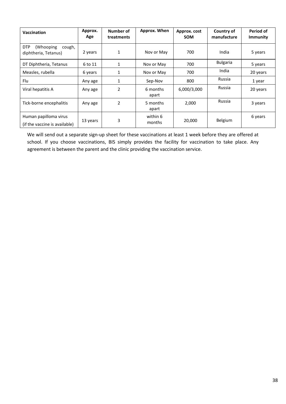| <b>Vaccination</b>                                         | Approx.<br>Age | Number of<br>treatments | Approx. When       | Approx. cost<br><b>SOM</b> | Country of<br>manufacture | Period of<br><b>Immunity</b> |
|------------------------------------------------------------|----------------|-------------------------|--------------------|----------------------------|---------------------------|------------------------------|
| <b>DTP</b><br>(Whooping)<br>cough,<br>diphtheria, Tetanus) | 2 years        | $\mathbf{1}$            | Nov or May         | 700                        | India                     | 5 years                      |
| DT Diphtheria, Tetanus                                     | 6 to 11        | $\mathbf{1}$            | Nov or May         | 700                        | <b>Bulgaria</b>           | 5 years                      |
| Measles, rubella                                           | 6 years        | $\mathbf{1}$            | Nov or May         | 700                        | India                     | 20 years                     |
| Flu                                                        | Any age        | 1                       | Sep-Nov            | 800                        | Russia                    | 1 year                       |
| Viral hepatitis A                                          | Any age        | $\overline{2}$          | 6 months<br>apart  | 6,000/3,000                | Russia                    | 20 years                     |
| Tick-borne encephalitis                                    | Any age        | $\overline{2}$          | 5 months<br>apart  | 2,000                      | Russia                    | 3 years                      |
| Human papilloma virus<br>(if the vaccine is available)     | 13 years       | 3                       | within 6<br>months | 20,000                     | Belgium                   | 6 years                      |

We will send out a separate sign-up sheet for these vaccinations at least 1 week before they are offered at school. If you choose vaccinations, BIS simply provides the facility for vaccination to take place. Any agreement is between the parent and the clinic providing the vaccination service.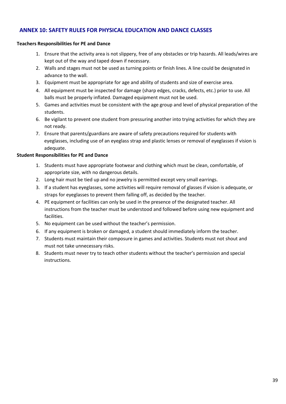## <span id="page-42-0"></span>**ANNEX 10: SAFETY RULES FOR PHYSICAL EDUCATION AND DANCE CLASSES**

## **Teachers Responsibilities for PE and Dance**

- 1. Ensure that the activity area is not slippery, free of any obstacles or trip hazards. All leads/wires are kept out of the way and taped down if necessary.
- 2. Walls and stages must not be used as turning points or finish lines. A line could be designated in advance to the wall.
- 3. Equipment must be appropriate for age and ability of students and size of exercise area.
- 4. All equipment must be inspected for damage (sharp edges, cracks, defects, etc.) prior to use. All balls must be properly inflated. Damaged equipment must not be used.
- 5. Games and activities must be consistent with the age group and level of physical preparation of the students.
- 6. Be vigilant to prevent one student from pressuring another into trying activities for which they are not ready.
- 7. Ensure that parents/guardians are aware of safety precautions required for students with eyeglasses, including use of an eyeglass strap and plastic lenses or removal of eyeglasses if vision is adequate.

## **Student Responsibilities for PE and Dance**

- 1. Students must have appropriate footwear and clothing which must be clean, comfortable, of appropriate size, with no dangerous details.
- 2. Long hair must be tied up and no jewelry is permitted except very small earrings.
- 3. If a student has eyeglasses, some activities will require removal of glasses if vision is adequate, or straps for eyeglasses to prevent them falling off, as decided by the teacher.
- 4. PE equipment or facilities can only be used in the presence of the designated teacher. All instructions from the teacher must be understood and followed before using new equipment and facilities.
- 5. No equipment can be used without the teacher's permission.
- 6. If any equipment is broken or damaged, a student should immediately inform the teacher.
- 7. Students must maintain their composure in games and activities. Students must not shout and must not take unnecessary risks.
- 8. Students must never try to teach other students without the teacher's permission and special instructions.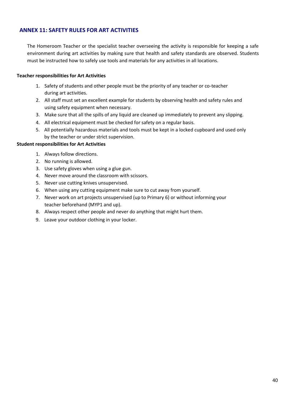## <span id="page-43-0"></span>**ANNEX 11: SAFETY RULES FOR ART ACTIVITIES**

The Homeroom Teacher or the specialist teacher overseeing the activity is responsible for keeping a safe environment during art activities by making sure that health and safety standards are observed. Students must be instructed how to safely use tools and materials for any activities in all locations.

#### **Teacher responsibilities for Art Activities**

- 1. Safety of students and other people must be the priority of any teacher or co-teacher during art activities.
- 2. All staff must set an excellent example for students by observing health and safety rules and using safety equipment when necessary.
- 3. Make sure that all the spills of any liquid are cleaned up immediately to prevent any slipping.
- 4. All electrical equipment must be checked for safety on a regular basis.
- 5. All potentially hazardous materials and tools must be kept in a locked cupboard and used only by the teacher or under strict supervision.

#### **Student responsibilities for Art Activities**

- 1. Always follow directions.
- 2. No running is allowed.
- 3. Use safety gloves when using a glue gun.
- 4. Never move around the classroom with scissors.
- 5. Never use cutting knives unsupervised.
- 6. When using any cutting equipment make sure to cut away from yourself.
- 7. Never work on art projects unsupervised (up to Primary 6) or without informing your teacher beforehand (MYP1 and up).
- 8. Always respect other people and never do anything that might hurt them.
- 9. Leave your outdoor clothing in your locker.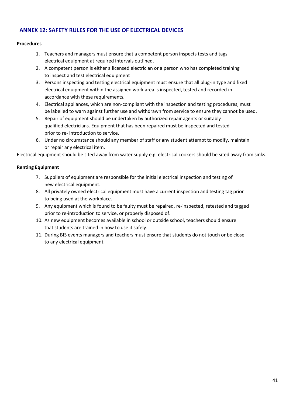## <span id="page-44-0"></span>**ANNEX 12: SAFETY RULES FOR THE USE OF ELECTRICAL DEVICES**

## **Procedures**

- 1. Teachers and managers must ensure that a competent person inspects tests and tags electrical equipment at required intervals outlined.
- 2. A competent person is either a licensed electrician or a person who has completed training to inspect and test electrical equipment
- 3. Persons inspecting and testing electrical equipment must ensure that all plug-in type and fixed electrical equipment within the assigned work area is inspected, tested and recorded in accordance with these requirements.
- 4. Electrical appliances, which are non-compliant with the inspection and testing procedures, must be labelled to warn against further use and withdrawn from service to ensure they cannot be used.
- 5. Repair of equipment should be undertaken by authorized repair agents or suitably qualified electricians. Equipment that has been repaired must be inspected and tested prior to re- introduction to service.
- 6. Under no circumstance should any member of staff or any student attempt to modify, maintain or repair any electrical item.

Electrical equipment should be sited away from water supply e.g. electrical cookers should be sited away from sinks.

## **Renting Equipment**

- 7. Suppliers of equipment are responsible for the initial electrical inspection and testing of new electrical equipment.
- 8. All privately owned electrical equipment must have a current inspection and testing tag prior to being used at the workplace.
- 9. Any equipment which is found to be faulty must be repaired, re-inspected, retested and tagged prior to re-introduction to service, or properly disposed of.
- 10. As new equipment becomes available in school or outside school, teachers should ensure that students are trained in how to use it safely.
- 11. During BIS events managers and teachers must ensure that students do not touch or be close to any electrical equipment.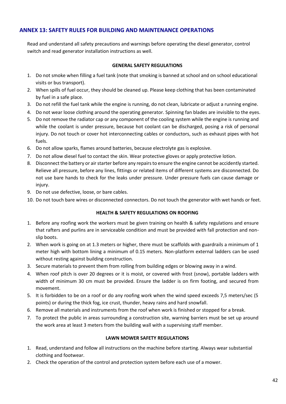## <span id="page-45-0"></span>**ANNEX 13: SAFETY RULES FOR BUILDING AND MAINTENANCE OPERATIONS**

Read and understand all safety precautions and warnings before operating the diesel generator, control switch and read generator installation instructions as well.

#### **GENERAL SAFETY REGULATIONS**

- 1. Do not smoke when filling a fuel tank (note that smoking is banned at school and on school educational visits or bus transport).
- 2. When spills of fuel occur, they should be cleaned up. Please keep clothing that has been contaminated by fuel in a safe place.
- 3. Do not refill the fuel tank while the engine is running, do not clean, lubricate or adjust a running engine.
- 4. Do not wear loose clothing around the operating generator. Spinning fan blades are invisible to the eyes.
- 5. Do not remove the radiator cap or any component of the cooling system while the engine is running and while the coolant is under pressure, because hot coolant can be discharged, posing a risk of personal injury. Do not touch or cover hot interconnecting cables or conductors, such as exhaust pipes with hot fuels.
- 6. Do not allow sparks, flames around batteries, because electrolyte gas is explosive.
- 7. Do not allow diesel fuel to contact the skin. Wear protective gloves or apply protective lotion.
- 8. Disconnect the battery or air starter before any repairs to ensure the engine cannot be accidently started. Relieve all pressure, before any lines, fittings or related items of different systems are disconnected. Do not use bare hands to check for the leaks under pressure. Under pressure fuels can cause damage or injury.
- 9. Do not use defective, loose, or bare cables.
- 10. Do not touch bare wires or disconnected connectors. Do not touch the generator with wet hands or feet.

## **HEALTH & SAFETY REGULATIONS ON ROOFING**

- 1. Before any roofing work the workers must be given training on health & safety regulations and ensure that rafters and purlins are in serviceable condition and must be provided with fall protection and nonslip boots.
- 2. When work is going on at 1.3 meters or higher, there must be scaffolds with guardrails a minimum of 1 meter high with bottom lining a minimum of 0.15 meters. Non-platform external ladders can be used without resting against building construction.
- 3. Secure materials to prevent them from rolling from building edges or blowing away in a wind.
- 4. When roof pitch is over 20 degrees or it is moist, or covered with frost (snow), portable ladders with width of minimum 30 cm must be provided. Ensure the ladder is on firm footing, and secured from movement.
- 5. It is forbidden to be on a roof or do any roofing work when the wind speed exceeds 7,5 meters/sec (5 points) or during the thick fog, ice crust, thunder, heavy rains and hard snowfall.
- 6. Remove all materials and instruments from the roof when work is finished or stopped for a break.
- 7. To protect the public in areas surrounding a construction site, warning barriers must be set up around the work area at least 3 meters from the building wall with a supervising staff member.

## **LAWN MOWER SAFETY REGULATIONS**

- 1. Read, understand and follow all instructions on the machine before starting. Always wear substantial clothing and footwear.
- 2. Check the operation of the control and protection system before each use of a mower.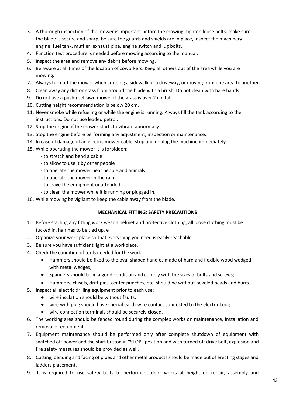- 3. A thorough inspection of the mower is important before the mowing: tighten loose belts, make sure the blade is secure and sharp, be sure the guards and shields are in place, inspect the machinery engine, fuel tank, muffler, exhaust pipe, engine switch and lug bolts.
- 4. Function test procedure is needed before mowing according to the manual.
- 5. Inspect the area and remove any debris before mowing.
- 6. Be aware at all times of the location of coworkers. Keep all others out of the area while you are mowing.
- 7. Always turn off the mower when crossing a sidewalk or a driveway, or moving from one area to another.
- 8. Clean away any dirt or grass from around the blade with a brush. Do not clean with bare hands.
- 9. Do not use a push-reel lawn mower if the grass is over 2 cm tall.
- 10. Cutting height recommendation is below 20 cm.
- 11. Never smoke while refueling or while the engine is running. Always fill the tank according to the instructions. Do not use leaded petrol.
- 12. Stop the engine if the mower starts to vibrate abnormally.
- 13. Stop the engine before performing any adjustment, inspection or maintenance.
- 14. In case of damage of an electric mower cable, stop and unplug the machine immediately.
- 15. While operating the mower it is forbidden:
	- to stretch and bend a cable
	- to allow to use it by other people
	- to operate the mower near people and animals
	- to operate the mower in the rain
	- to leave the equipment unattended
	- to clean the mower while it is running or plugged in.
- 16. While mowing be vigilant to keep the cable away from the blade.

## **MECHANICAL FITTING: SAFETY PRECAUTIONS**

- 1. Before starting any fitting work wear a helmet and protective clothing, all loose clothing must be tucked in, hair has to be tied up. е
- 2. Organize your work place so that everything you need is easily reachable.
- 3. Be sure you have sufficient light at a workplace.
- 4. Check the condition of tools needed for the work:
	- Hammers should be fixed to the oval-shaped handles made of hard and flexible wood wedged with metal wedges;
	- Spanners should be in a good condition and comply with the sizes of bolts and screws;
	- Hammers, chisels, drift pins, center punches, etc. should be without beveled heads and burrs.
- 5. Inspect all electric drilling equipment prior to each use:
	- wire insulation should be without faults;
	- wire with plug should have special earth-wire contact connected to the electric tool;
	- wire connection terminals should be securely closed.
- 6. The working area should be fenced round during the complex works on maintenance, installation and removal of equipment.
- 7. Equipment maintenance should be performed only after complete shutdown of equipment with switched off power and the start button in "STOP" position and with turned off drive belt, explosion and fire safety measures should be provided as well.
- 8. Cutting, bending and facing of pipes and other metal products should be made out of erecting stages and ladders placement.
- 9. It is required to use safety belts to perform outdoor works at height on repair, assembly and